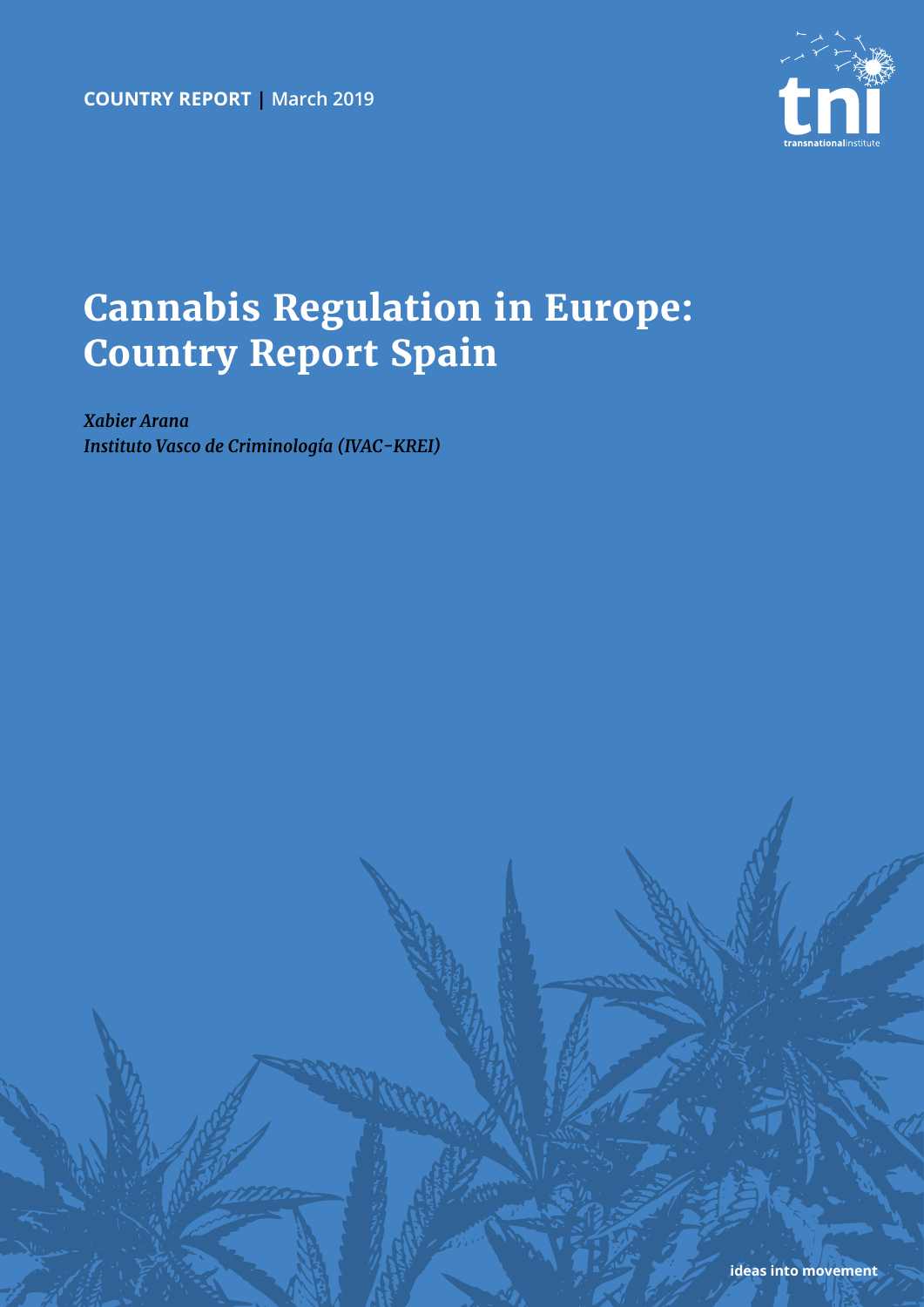

# **Cannabis Regulation in Europe: Country Report Spain**

*Xabier Arana Instituto Vasco de Criminología (IVAC-KREI)*

**ideas into movement**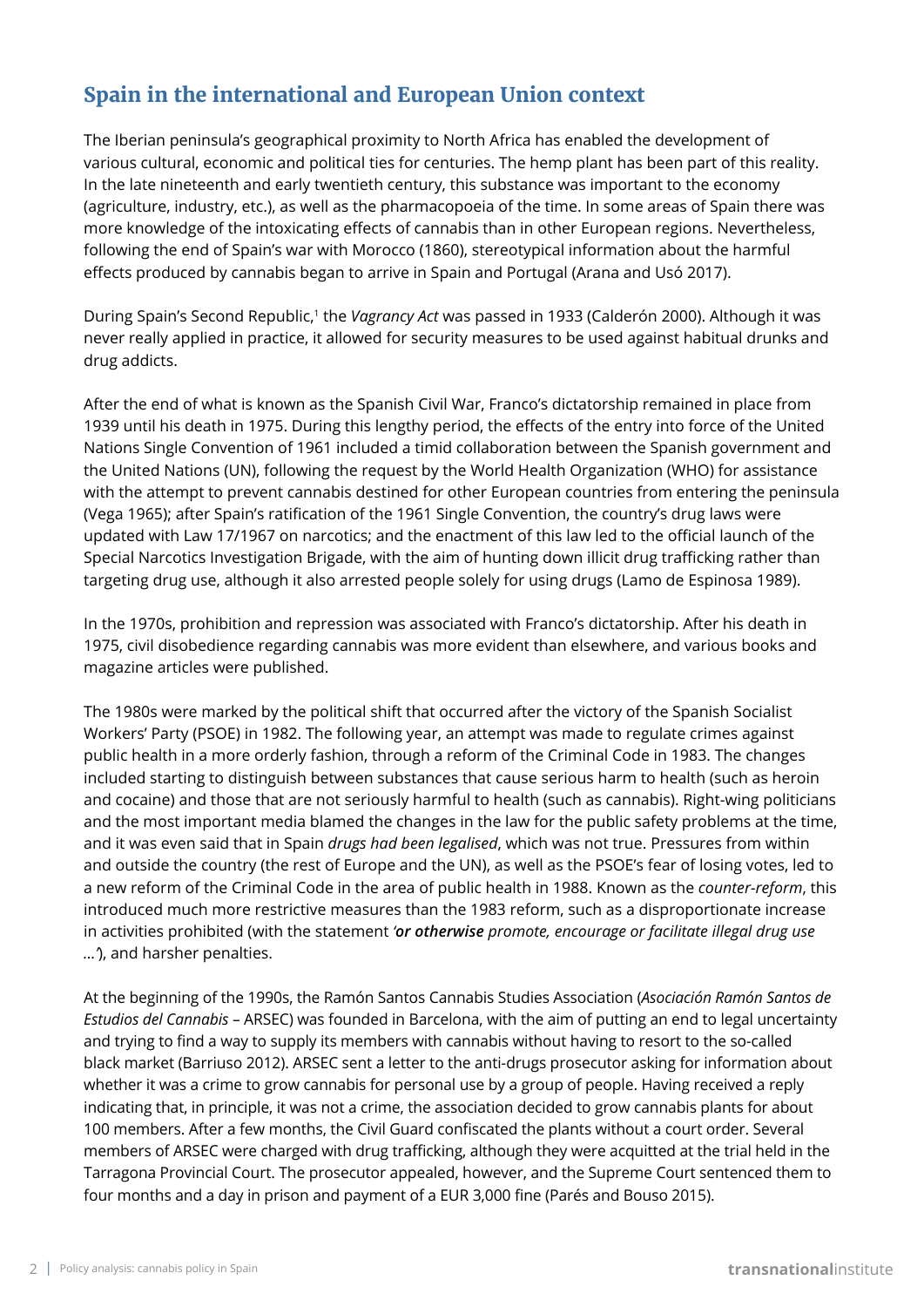# **Spain in the international and European Union context**

The Iberian peninsula's geographical proximity to North Africa has enabled the development of various cultural, economic and political ties for centuries. The hemp plant has been part of this reality. In the late nineteenth and early twentieth century, this substance was important to the economy (agriculture, industry, etc.), as well as the pharmacopoeia of the time. In some areas of Spain there was more knowledge of the intoxicating effects of cannabis than in other European regions. Nevertheless, following the end of Spain's war with Morocco (1860), stereotypical information about the harmful effects produced by cannabis began to arrive in Spain and Portugal (Arana and Usó 2017).

During Spain's Second Republic,1 the *Vagrancy Act* was passed in 1933 (Calderón 2000). Although it was never really applied in practice, it allowed for security measures to be used against habitual drunks and drug addicts.

After the end of what is known as the Spanish Civil War, Franco's dictatorship remained in place from 1939 until his death in 1975. During this lengthy period, the effects of the entry into force of the United Nations Single Convention of 1961 included a timid collaboration between the Spanish government and the United Nations (UN), following the request by the World Health Organization (WHO) for assistance with the attempt to prevent cannabis destined for other European countries from entering the peninsula (Vega 1965); after Spain's ratification of the 1961 Single Convention, the country's drug laws were updated with Law 17/1967 on narcotics; and the enactment of this law led to the official launch of the Special Narcotics Investigation Brigade, with the aim of hunting down illicit drug trafficking rather than targeting drug use, although it also arrested people solely for using drugs (Lamo de Espinosa 1989).

In the 1970s, prohibition and repression was associated with Franco's dictatorship. After his death in 1975, civil disobedience regarding cannabis was more evident than elsewhere, and various books and magazine articles were published.

The 1980s were marked by the political shift that occurred after the victory of the Spanish Socialist Workers' Party (PSOE) in 1982. The following year, an attempt was made to regulate crimes against public health in a more orderly fashion, through a reform of the Criminal Code in 1983. The changes included starting to distinguish between substances that cause serious harm to health (such as heroin and cocaine) and those that are not seriously harmful to health (such as cannabis). Right-wing politicians and the most important media blamed the changes in the law for the public safety problems at the time, and it was even said that in Spain *drugs had been legalised*, which was not true. Pressures from within and outside the country (the rest of Europe and the UN), as well as the PSOE's fear of losing votes, led to a new reform of the Criminal Code in the area of public health in 1988. Known as the *counter-reform*, this introduced much more restrictive measures than the 1983 reform, such as a disproportionate increase in activities prohibited (with the statement *'or otherwise promote, encourage or facilitate illegal drug use …'*), and harsher penalties.

At the beginning of the 1990s, the Ramón Santos Cannabis Studies Association (*Asociación Ramón Santos de Estudios del Cannabis* – ARSEC) was founded in Barcelona, with the aim of putting an end to legal uncertainty and trying to find a way to supply its members with cannabis without having to resort to the so-called black market (Barriuso 2012). ARSEC sent a letter to the anti-drugs prosecutor asking for information about whether it was a crime to grow cannabis for personal use by a group of people. Having received a reply indicating that, in principle, it was not a crime, the association decided to grow cannabis plants for about 100 members. After a few months, the Civil Guard confiscated the plants without a court order. Several members of ARSEC were charged with drug trafficking, although they were acquitted at the trial held in the Tarragona Provincial Court. The prosecutor appealed, however, and the Supreme Court sentenced them to four months and a day in prison and payment of a EUR 3,000 fine (Parés and Bouso 2015).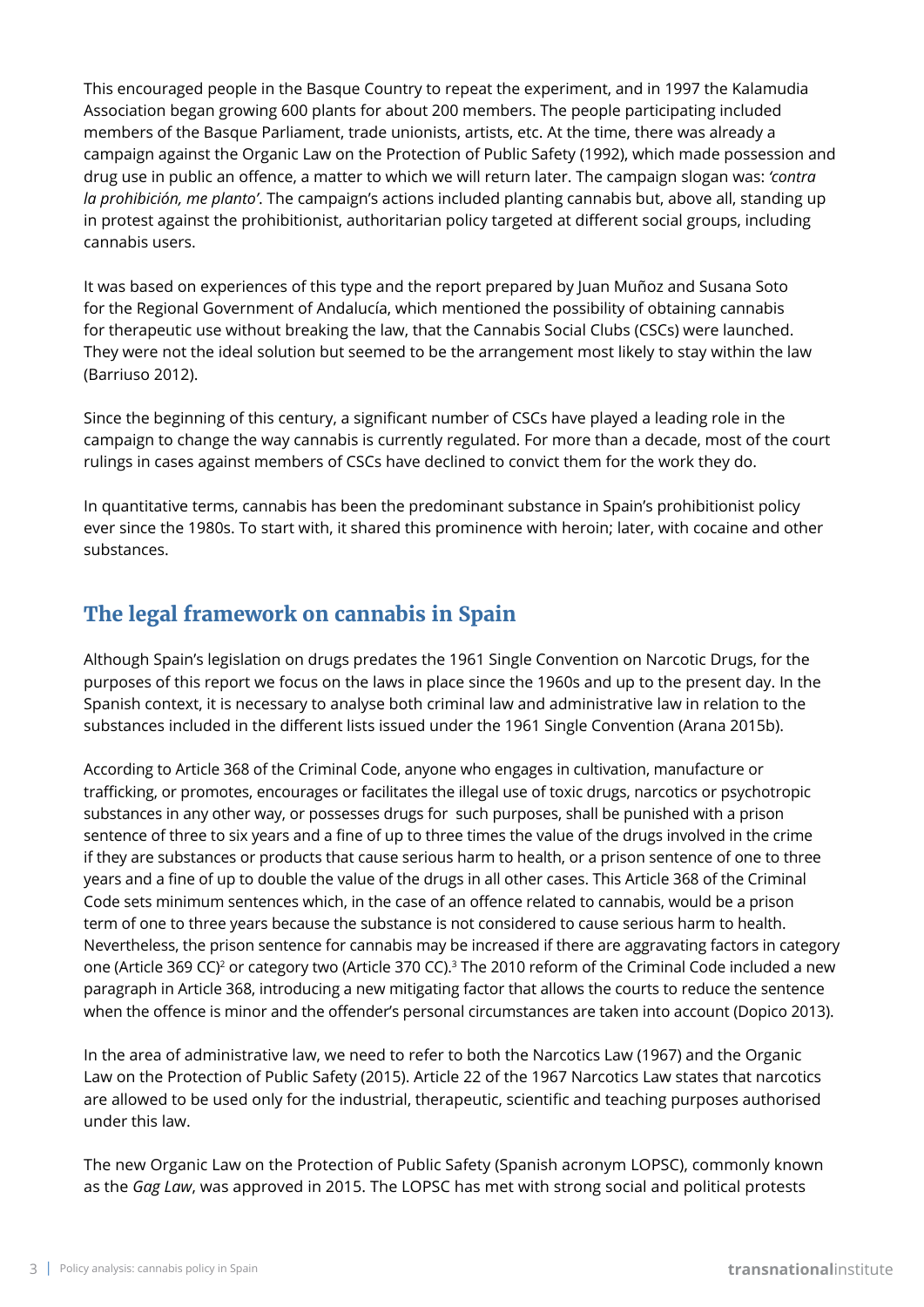This encouraged people in the Basque Country to repeat the experiment, and in 1997 the Kalamudia Association began growing 600 plants for about 200 members. The people participating included members of the Basque Parliament, trade unionists, artists, etc. At the time, there was already a campaign against the Organic Law on the Protection of Public Safety (1992), which made possession and drug use in public an offence, a matter to which we will return later. The campaign slogan was: *'contra la prohibición, me planto'*. The campaign's actions included planting cannabis but, above all, standing up in protest against the prohibitionist, authoritarian policy targeted at different social groups, including cannabis users.

It was based on experiences of this type and the report prepared by Juan Muñoz and Susana Soto for the Regional Government of Andalucía, which mentioned the possibility of obtaining cannabis for therapeutic use without breaking the law, that the Cannabis Social Clubs (CSCs) were launched. They were not the ideal solution but seemed to be the arrangement most likely to stay within the law (Barriuso 2012).

Since the beginning of this century, a significant number of CSCs have played a leading role in the campaign to change the way cannabis is currently regulated. For more than a decade, most of the court rulings in cases against members of CSCs have declined to convict them for the work they do.

In quantitative terms, cannabis has been the predominant substance in Spain's prohibitionist policy ever since the 1980s. To start with, it shared this prominence with heroin; later, with cocaine and other substances.

### **The legal framework on cannabis in Spain**

Although Spain's legislation on drugs predates the 1961 Single Convention on Narcotic Drugs, for the purposes of this report we focus on the laws in place since the 1960s and up to the present day. In the Spanish context, it is necessary to analyse both criminal law and administrative law in relation to the substances included in the different lists issued under the 1961 Single Convention (Arana 2015b).

According to Article 368 of the Criminal Code, anyone who engages in cultivation, manufacture or trafficking, or promotes, encourages or facilitates the illegal use of toxic drugs, narcotics or psychotropic substances in any other way, or possesses drugs for such purposes, shall be punished with a prison sentence of three to six years and a fine of up to three times the value of the drugs involved in the crime if they are substances or products that cause serious harm to health, or a prison sentence of one to three years and a fine of up to double the value of the drugs in all other cases. This Article 368 of the Criminal Code sets minimum sentences which, in the case of an offence related to cannabis, would be a prison term of one to three years because the substance is not considered to cause serious harm to health. Nevertheless, the prison sentence for cannabis may be increased if there are aggravating factors in category one (Article 369 CC)<sup>2</sup> or category two (Article 370 CC).<sup>3</sup> The 2010 reform of the Criminal Code included a new paragraph in Article 368, introducing a new mitigating factor that allows the courts to reduce the sentence when the offence is minor and the offender's personal circumstances are taken into account (Dopico 2013).

In the area of administrative law, we need to refer to both the Narcotics Law (1967) and the Organic Law on the Protection of Public Safety (2015). Article 22 of the 1967 Narcotics Law states that narcotics are allowed to be used only for the industrial, therapeutic, scientific and teaching purposes authorised under this law.

The new Organic Law on the Protection of Public Safety (Spanish acronym LOPSC), commonly known as the *Gag Law*, was approved in 2015. The LOPSC has met with strong social and political protests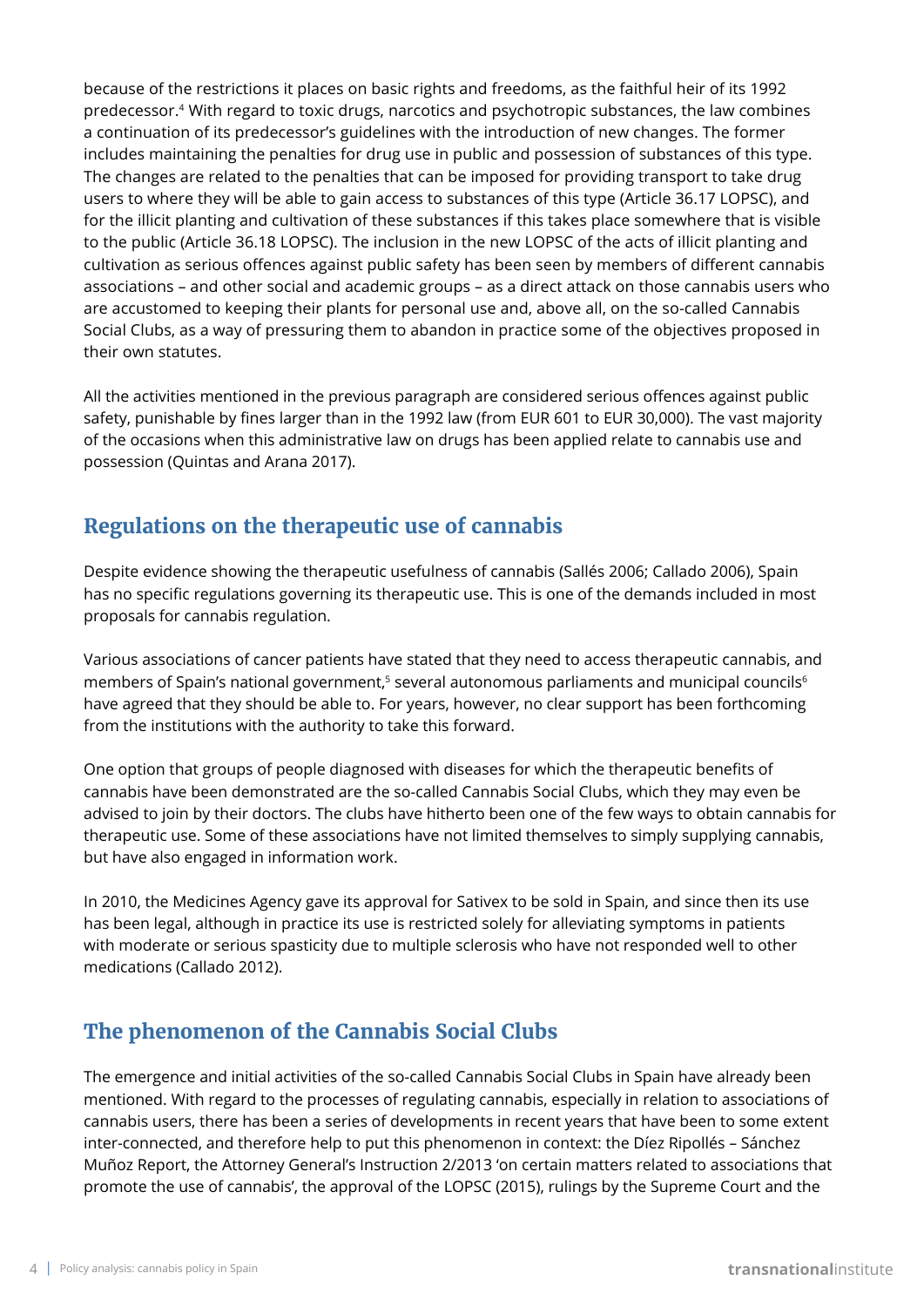because of the restrictions it places on basic rights and freedoms, as the faithful heir of its 1992 predecessor.4 With regard to toxic drugs, narcotics and psychotropic substances, the law combines a continuation of its predecessor's guidelines with the introduction of new changes. The former includes maintaining the penalties for drug use in public and possession of substances of this type. The changes are related to the penalties that can be imposed for providing transport to take drug users to where they will be able to gain access to substances of this type (Article 36.17 LOPSC), and for the illicit planting and cultivation of these substances if this takes place somewhere that is visible to the public (Article 36.18 LOPSC). The inclusion in the new LOPSC of the acts of illicit planting and cultivation as serious offences against public safety has been seen by members of different cannabis associations – and other social and academic groups – as a direct attack on those cannabis users who are accustomed to keeping their plants for personal use and, above all, on the so-called Cannabis Social Clubs, as a way of pressuring them to abandon in practice some of the objectives proposed in their own statutes.

All the activities mentioned in the previous paragraph are considered serious offences against public safety, punishable by fines larger than in the 1992 law (from EUR 601 to EUR 30,000). The vast majority of the occasions when this administrative law on drugs has been applied relate to cannabis use and possession (Quintas and Arana 2017).

### **Regulations on the therapeutic use of cannabis**

Despite evidence showing the therapeutic usefulness of cannabis (Sallés 2006; Callado 2006), Spain has no specific regulations governing its therapeutic use. This is one of the demands included in most proposals for cannabis regulation.

Various associations of cancer patients have stated that they need to access therapeutic cannabis, and members of Spain's national government,<sup>5</sup> several autonomous parliaments and municipal councils<sup>6</sup> have agreed that they should be able to. For years, however, no clear support has been forthcoming from the institutions with the authority to take this forward.

One option that groups of people diagnosed with diseases for which the therapeutic benefits of cannabis have been demonstrated are the so-called Cannabis Social Clubs, which they may even be advised to join by their doctors. The clubs have hitherto been one of the few ways to obtain cannabis for therapeutic use. Some of these associations have not limited themselves to simply supplying cannabis, but have also engaged in information work.

In 2010, the Medicines Agency gave its approval for Sativex to be sold in Spain, and since then its use has been legal, although in practice its use is restricted solely for alleviating symptoms in patients with moderate or serious spasticity due to multiple sclerosis who have not responded well to other medications (Callado 2012).

# **The phenomenon of the Cannabis Social Clubs**

The emergence and initial activities of the so-called Cannabis Social Clubs in Spain have already been mentioned. With regard to the processes of regulating cannabis, especially in relation to associations of cannabis users, there has been a series of developments in recent years that have been to some extent inter-connected, and therefore help to put this phenomenon in context: the Díez Ripollés – Sánchez Muñoz Report, the Attorney General's Instruction 2/2013 'on certain matters related to associations that promote the use of cannabis', the approval of the LOPSC (2015), rulings by the Supreme Court and the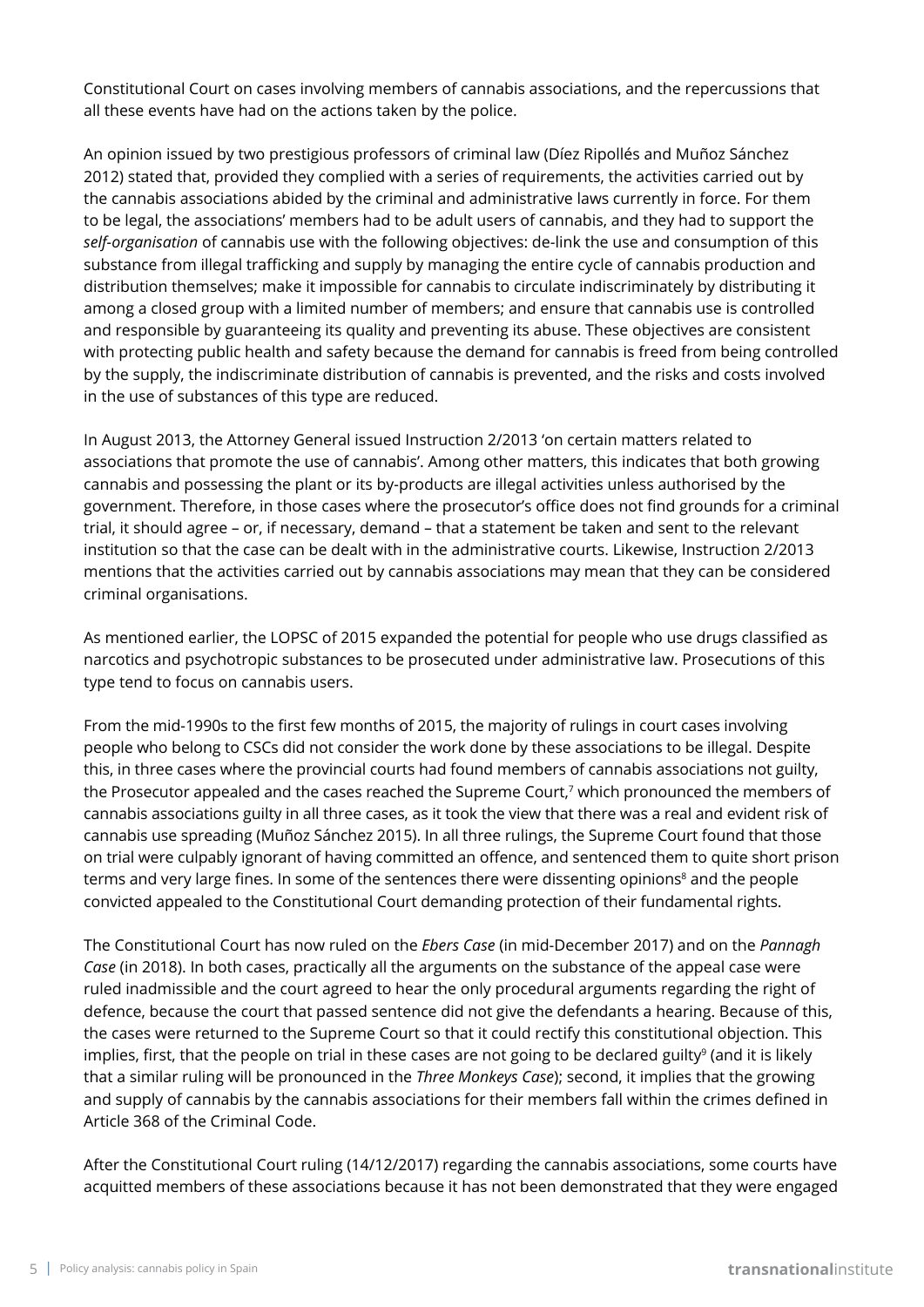Constitutional Court on cases involving members of cannabis associations, and the repercussions that all these events have had on the actions taken by the police.

An opinion issued by two prestigious professors of criminal law (Díez Ripollés and Muñoz Sánchez 2012) stated that, provided they complied with a series of requirements, the activities carried out by the cannabis associations abided by the criminal and administrative laws currently in force. For them to be legal, the associations' members had to be adult users of cannabis, and they had to support the *self-organisation* of cannabis use with the following objectives: de-link the use and consumption of this substance from illegal trafficking and supply by managing the entire cycle of cannabis production and distribution themselves; make it impossible for cannabis to circulate indiscriminately by distributing it among a closed group with a limited number of members; and ensure that cannabis use is controlled and responsible by guaranteeing its quality and preventing its abuse. These objectives are consistent with protecting public health and safety because the demand for cannabis is freed from being controlled by the supply, the indiscriminate distribution of cannabis is prevented, and the risks and costs involved in the use of substances of this type are reduced.

In August 2013, the Attorney General issued Instruction 2/2013 'on certain matters related to associations that promote the use of cannabis'. Among other matters, this indicates that both growing cannabis and possessing the plant or its by-products are illegal activities unless authorised by the government. Therefore, in those cases where the prosecutor's office does not find grounds for a criminal trial, it should agree – or, if necessary, demand – that a statement be taken and sent to the relevant institution so that the case can be dealt with in the administrative courts. Likewise, Instruction 2/2013 mentions that the activities carried out by cannabis associations may mean that they can be considered criminal organisations.

As mentioned earlier, the LOPSC of 2015 expanded the potential for people who use drugs classified as narcotics and psychotropic substances to be prosecuted under administrative law. Prosecutions of this type tend to focus on cannabis users.

From the mid-1990s to the first few months of 2015, the majority of rulings in court cases involving people who belong to CSCs did not consider the work done by these associations to be illegal. Despite this, in three cases where the provincial courts had found members of cannabis associations not guilty, the Prosecutor appealed and the cases reached the Supreme Court,<sup>7</sup> which pronounced the members of cannabis associations guilty in all three cases, as it took the view that there was a real and evident risk of cannabis use spreading (Muñoz Sánchez 2015). In all three rulings, the Supreme Court found that those on trial were culpably ignorant of having committed an offence, and sentenced them to quite short prison terms and very large fines. In some of the sentences there were dissenting opinions $^{\text{s}}$  and the people convicted appealed to the Constitutional Court demanding protection of their fundamental rights.

The Constitutional Court has now ruled on the *Ebers Case* (in mid-December 2017) and on the *Pannagh Case* (in 2018). In both cases, practically all the arguments on the substance of the appeal case were ruled inadmissible and the court agreed to hear the only procedural arguments regarding the right of defence, because the court that passed sentence did not give the defendants a hearing. Because of this, the cases were returned to the Supreme Court so that it could rectify this constitutional objection. This implies, first, that the people on trial in these cases are not going to be declared guilty<sup>9</sup> (and it is likely that a similar ruling will be pronounced in the *Three Monkeys Case*); second, it implies that the growing and supply of cannabis by the cannabis associations for their members fall within the crimes defined in Article 368 of the Criminal Code.

After the Constitutional Court ruling (14/12/2017) regarding the cannabis associations, some courts have acquitted members of these associations because it has not been demonstrated that they were engaged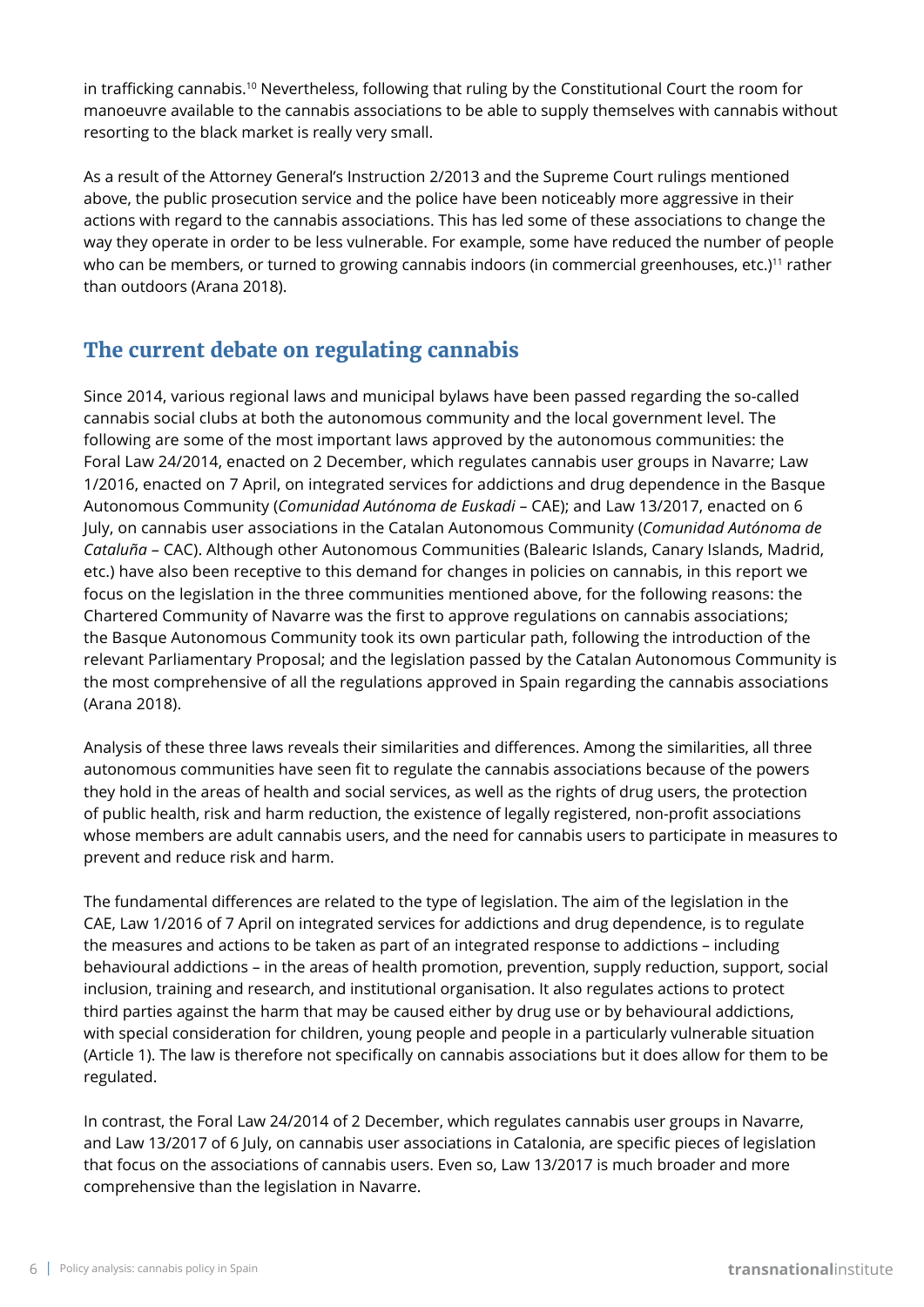in trafficking cannabis.<sup>10</sup> Nevertheless, following that ruling by the Constitutional Court the room for manoeuvre available to the cannabis associations to be able to supply themselves with cannabis without resorting to the black market is really very small.

As a result of the Attorney General's Instruction 2/2013 and the Supreme Court rulings mentioned above, the public prosecution service and the police have been noticeably more aggressive in their actions with regard to the cannabis associations. This has led some of these associations to change the way they operate in order to be less vulnerable. For example, some have reduced the number of people who can be members, or turned to growing cannabis indoors (in commercial greenhouses, etc.)<sup>11</sup> rather than outdoors (Arana 2018).

# **The current debate on regulating cannabis**

Since 2014, various regional laws and municipal bylaws have been passed regarding the so-called cannabis social clubs at both the autonomous community and the local government level. The following are some of the most important laws approved by the autonomous communities: the Foral Law 24/2014, enacted on 2 December, which regulates cannabis user groups in Navarre; Law 1/2016, enacted on 7 April, on integrated services for addictions and drug dependence in the Basque Autonomous Community (*Comunidad Autónoma de Euskadi* – CAE); and Law 13/2017, enacted on 6 July, on cannabis user associations in the Catalan Autonomous Community (*Comunidad Autónoma de Cataluña* – CAC). Although other Autonomous Communities (Balearic Islands, Canary Islands, Madrid, etc.) have also been receptive to this demand for changes in policies on cannabis, in this report we focus on the legislation in the three communities mentioned above, for the following reasons: the Chartered Community of Navarre was the first to approve regulations on cannabis associations; the Basque Autonomous Community took its own particular path, following the introduction of the relevant Parliamentary Proposal; and the legislation passed by the Catalan Autonomous Community is the most comprehensive of all the regulations approved in Spain regarding the cannabis associations (Arana 2018).

Analysis of these three laws reveals their similarities and differences. Among the similarities, all three autonomous communities have seen fit to regulate the cannabis associations because of the powers they hold in the areas of health and social services, as well as the rights of drug users, the protection of public health, risk and harm reduction, the existence of legally registered, non-profit associations whose members are adult cannabis users, and the need for cannabis users to participate in measures to prevent and reduce risk and harm.

The fundamental differences are related to the type of legislation. The aim of the legislation in the CAE, Law 1/2016 of 7 April on integrated services for addictions and drug dependence, is to regulate the measures and actions to be taken as part of an integrated response to addictions – including behavioural addictions – in the areas of health promotion, prevention, supply reduction, support, social inclusion, training and research, and institutional organisation. It also regulates actions to protect third parties against the harm that may be caused either by drug use or by behavioural addictions, with special consideration for children, young people and people in a particularly vulnerable situation (Article 1). The law is therefore not specifically on cannabis associations but it does allow for them to be regulated.

In contrast, the Foral Law 24/2014 of 2 December, which regulates cannabis user groups in Navarre, and Law 13/2017 of 6 July, on cannabis user associations in Catalonia, are specific pieces of legislation that focus on the associations of cannabis users. Even so, Law 13/2017 is much broader and more comprehensive than the legislation in Navarre.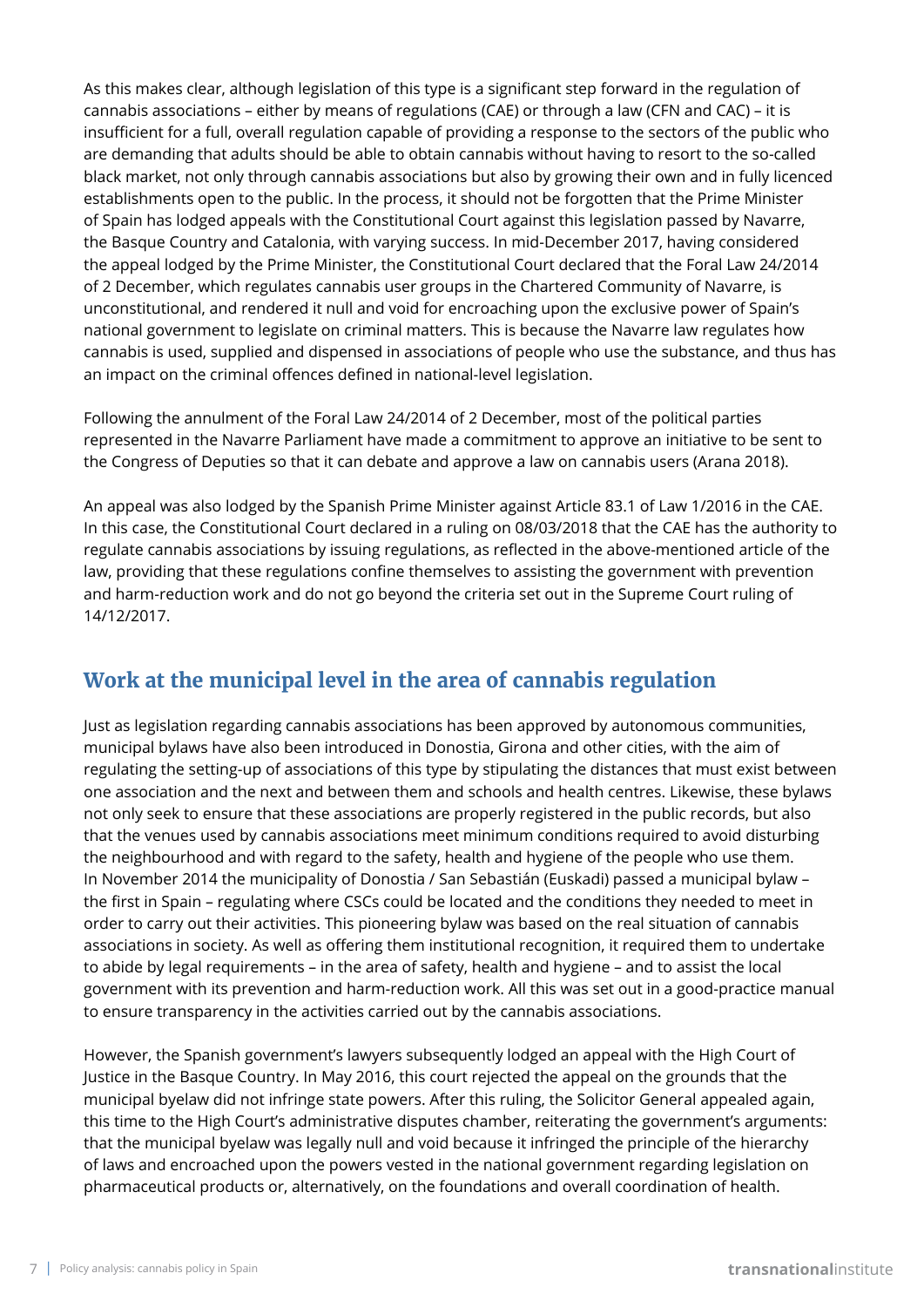As this makes clear, although legislation of this type is a significant step forward in the regulation of cannabis associations – either by means of regulations (CAE) or through a law (CFN and CAC) – it is insufficient for a full, overall regulation capable of providing a response to the sectors of the public who are demanding that adults should be able to obtain cannabis without having to resort to the so-called black market, not only through cannabis associations but also by growing their own and in fully licenced establishments open to the public. In the process, it should not be forgotten that the Prime Minister of Spain has lodged appeals with the Constitutional Court against this legislation passed by Navarre, the Basque Country and Catalonia, with varying success. In mid-December 2017, having considered the appeal lodged by the Prime Minister, the Constitutional Court declared that the Foral Law 24/2014 of 2 December, which regulates cannabis user groups in the Chartered Community of Navarre, is unconstitutional, and rendered it null and void for encroaching upon the exclusive power of Spain's national government to legislate on criminal matters. This is because the Navarre law regulates how cannabis is used, supplied and dispensed in associations of people who use the substance, and thus has an impact on the criminal offences defined in national-level legislation.

Following the annulment of the Foral Law 24/2014 of 2 December, most of the political parties represented in the Navarre Parliament have made a commitment to approve an initiative to be sent to the Congress of Deputies so that it can debate and approve a law on cannabis users (Arana 2018).

An appeal was also lodged by the Spanish Prime Minister against Article 83.1 of Law 1/2016 in the CAE. In this case, the Constitutional Court declared in a ruling on 08/03/2018 that the CAE has the authority to regulate cannabis associations by issuing regulations, as reflected in the above-mentioned article of the law, providing that these regulations confine themselves to assisting the government with prevention and harm-reduction work and do not go beyond the criteria set out in the Supreme Court ruling of 14/12/2017.

# **Work at the municipal level in the area of cannabis regulation**

Just as legislation regarding cannabis associations has been approved by autonomous communities, municipal bylaws have also been introduced in Donostia, Girona and other cities, with the aim of regulating the setting-up of associations of this type by stipulating the distances that must exist between one association and the next and between them and schools and health centres. Likewise, these bylaws not only seek to ensure that these associations are properly registered in the public records, but also that the venues used by cannabis associations meet minimum conditions required to avoid disturbing the neighbourhood and with regard to the safety, health and hygiene of the people who use them. In November 2014 the municipality of Donostia / San Sebastián (Euskadi) passed a municipal bylaw – the first in Spain – regulating where CSCs could be located and the conditions they needed to meet in order to carry out their activities. This pioneering bylaw was based on the real situation of cannabis associations in society. As well as offering them institutional recognition, it required them to undertake to abide by legal requirements – in the area of safety, health and hygiene – and to assist the local government with its prevention and harm-reduction work. All this was set out in a good-practice manual to ensure transparency in the activities carried out by the cannabis associations.

However, the Spanish government's lawyers subsequently lodged an appeal with the High Court of Justice in the Basque Country. In May 2016, this court rejected the appeal on the grounds that the municipal byelaw did not infringe state powers. After this ruling, the Solicitor General appealed again, this time to the High Court's administrative disputes chamber, reiterating the government's arguments: that the municipal byelaw was legally null and void because it infringed the principle of the hierarchy of laws and encroached upon the powers vested in the national government regarding legislation on pharmaceutical products or, alternatively, on the foundations and overall coordination of health.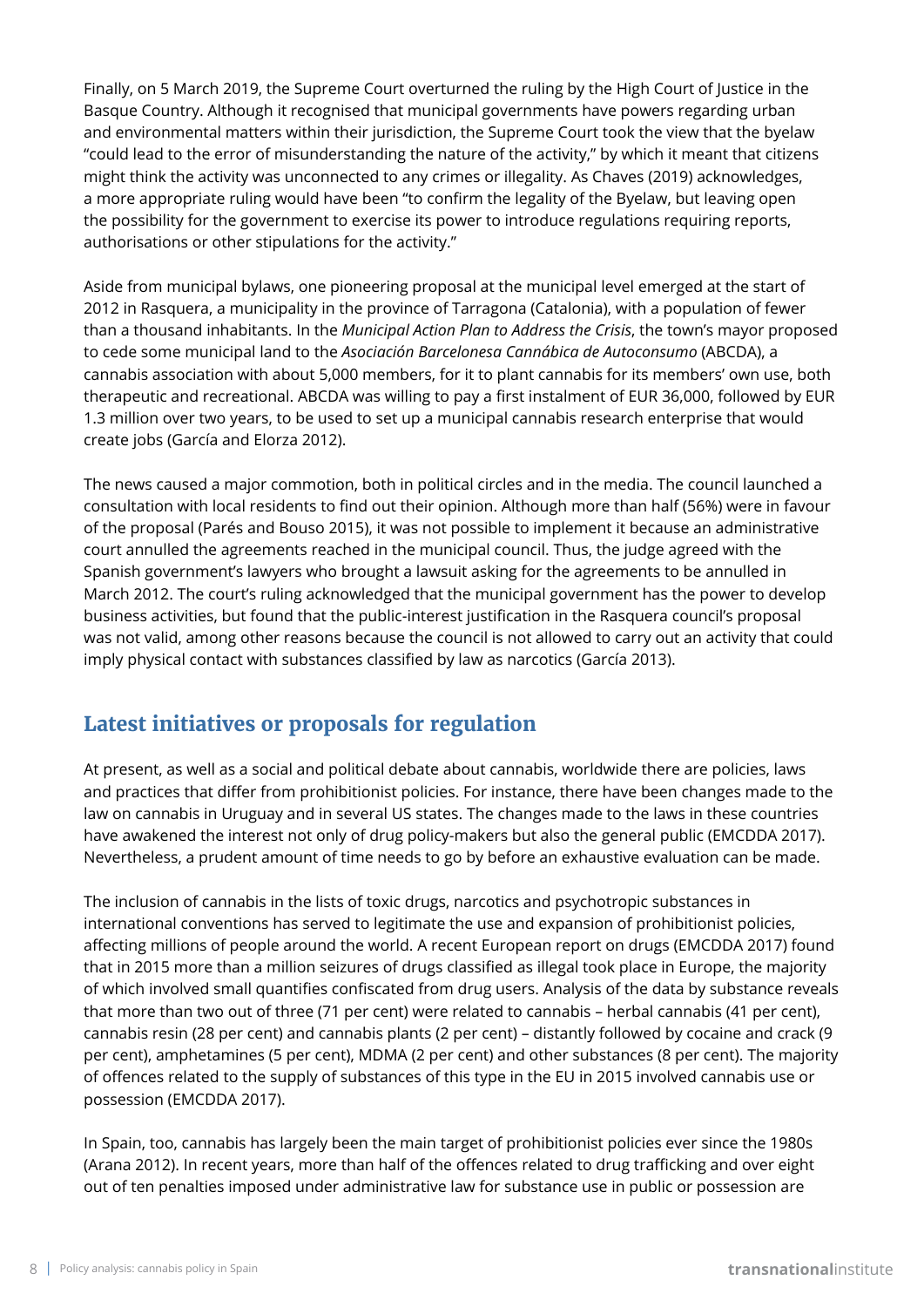Finally, on 5 March 2019, the Supreme Court overturned the ruling by the High Court of Justice in the Basque Country. Although it recognised that municipal governments have powers regarding urban and environmental matters within their jurisdiction, the Supreme Court took the view that the byelaw "could lead to the error of misunderstanding the nature of the activity," by which it meant that citizens might think the activity was unconnected to any crimes or illegality. As Chaves (2019) acknowledges, a more appropriate ruling would have been "to confirm the legality of the Byelaw, but leaving open the possibility for the government to exercise its power to introduce regulations requiring reports, authorisations or other stipulations for the activity."

Aside from municipal bylaws, one pioneering proposal at the municipal level emerged at the start of 2012 in Rasquera, a municipality in the province of Tarragona (Catalonia), with a population of fewer than a thousand inhabitants. In the *Municipal Action Plan to Address the Crisis*, the town's mayor proposed to cede some municipal land to the *Asociación Barcelonesa Cannábica de Autoconsumo* (ABCDA), a cannabis association with about 5,000 members, for it to plant cannabis for its members' own use, both therapeutic and recreational. ABCDA was willing to pay a first instalment of EUR 36,000, followed by EUR 1.3 million over two years, to be used to set up a municipal cannabis research enterprise that would create jobs (García and Elorza 2012).

The news caused a major commotion, both in political circles and in the media. The council launched a consultation with local residents to find out their opinion. Although more than half (56%) were in favour of the proposal (Parés and Bouso 2015), it was not possible to implement it because an administrative court annulled the agreements reached in the municipal council. Thus, the judge agreed with the Spanish government's lawyers who brought a lawsuit asking for the agreements to be annulled in March 2012. The court's ruling acknowledged that the municipal government has the power to develop business activities, but found that the public-interest justification in the Rasquera council's proposal was not valid, among other reasons because the council is not allowed to carry out an activity that could imply physical contact with substances classified by law as narcotics (García 2013).

# **Latest initiatives or proposals for regulation**

At present, as well as a social and political debate about cannabis, worldwide there are policies, laws and practices that differ from prohibitionist policies. For instance, there have been changes made to the law on cannabis in Uruguay and in several US states. The changes made to the laws in these countries have awakened the interest not only of drug policy-makers but also the general public (EMCDDA 2017). Nevertheless, a prudent amount of time needs to go by before an exhaustive evaluation can be made.

The inclusion of cannabis in the lists of toxic drugs, narcotics and psychotropic substances in international conventions has served to legitimate the use and expansion of prohibitionist policies, affecting millions of people around the world. A recent European report on drugs (EMCDDA 2017) found that in 2015 more than a million seizures of drugs classified as illegal took place in Europe, the majority of which involved small quantifies confiscated from drug users. Analysis of the data by substance reveals that more than two out of three (71 per cent) were related to cannabis – herbal cannabis (41 per cent), cannabis resin (28 per cent) and cannabis plants (2 per cent) – distantly followed by cocaine and crack (9 per cent), amphetamines (5 per cent), MDMA (2 per cent) and other substances (8 per cent). The majority of offences related to the supply of substances of this type in the EU in 2015 involved cannabis use or possession (EMCDDA 2017).

In Spain, too, cannabis has largely been the main target of prohibitionist policies ever since the 1980s (Arana 2012). In recent years, more than half of the offences related to drug trafficking and over eight out of ten penalties imposed under administrative law for substance use in public or possession are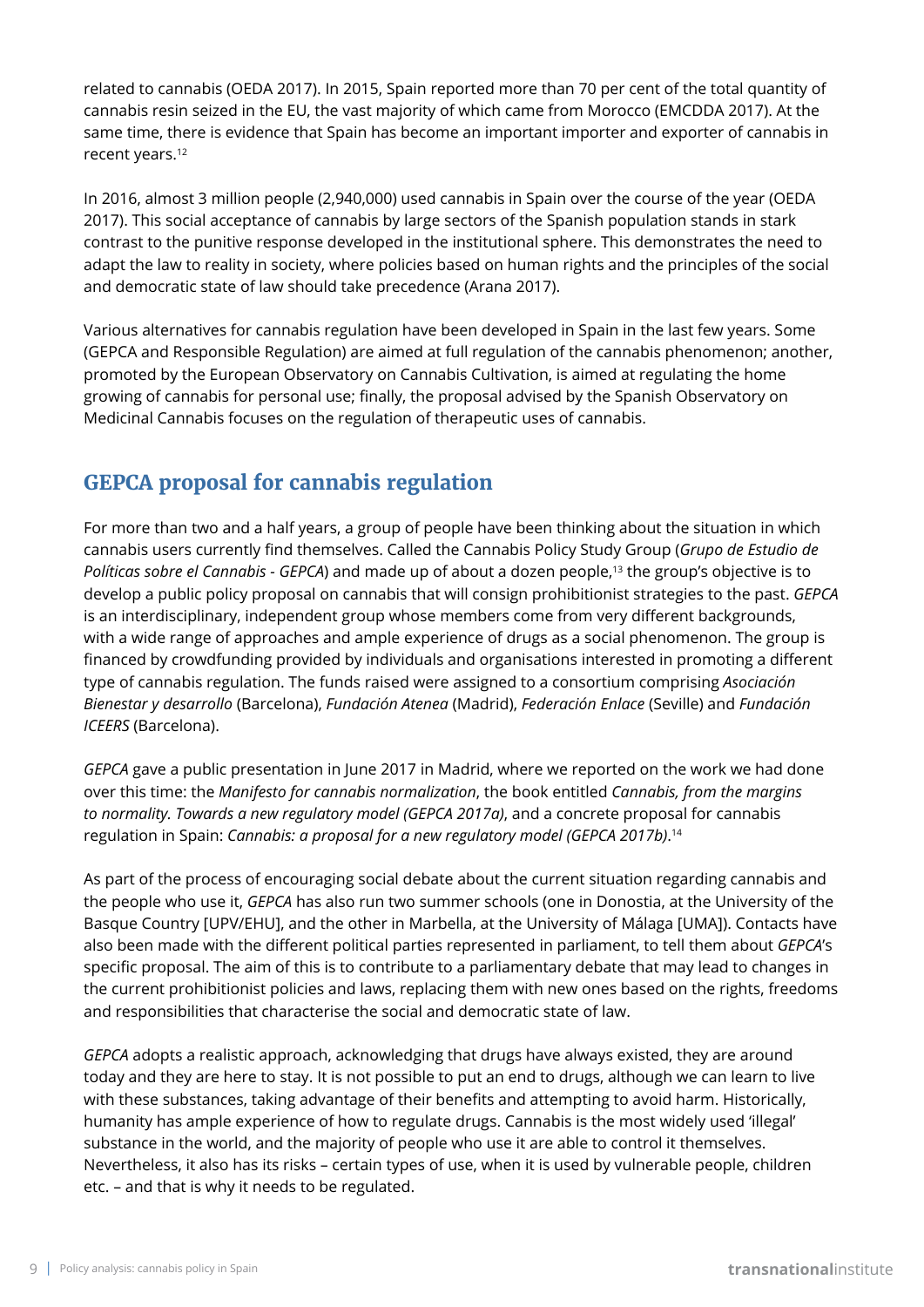related to cannabis (OEDA 2017). In 2015, Spain reported more than 70 per cent of the total quantity of cannabis resin seized in the EU, the vast majority of which came from Morocco (EMCDDA 2017). At the same time, there is evidence that Spain has become an important importer and exporter of cannabis in recent years.12

In 2016, almost 3 million people (2,940,000) used cannabis in Spain over the course of the year (OEDA 2017). This social acceptance of cannabis by large sectors of the Spanish population stands in stark contrast to the punitive response developed in the institutional sphere. This demonstrates the need to adapt the law to reality in society, where policies based on human rights and the principles of the social and democratic state of law should take precedence (Arana 2017).

Various alternatives for cannabis regulation have been developed in Spain in the last few years. Some (GEPCA and Responsible Regulation) are aimed at full regulation of the cannabis phenomenon; another, promoted by the European Observatory on Cannabis Cultivation, is aimed at regulating the home growing of cannabis for personal use; finally, the proposal advised by the Spanish Observatory on Medicinal Cannabis focuses on the regulation of therapeutic uses of cannabis.

# **GEPCA proposal for cannabis regulation**

For more than two and a half years, a group of people have been thinking about the situation in which cannabis users currently find themselves. Called the Cannabis Policy Study Group (*Grupo de Estudio de Políticas sobre el Cannabis - GEPCA*) and made up of about a dozen people,<sup>13</sup> the group's objective is to develop a public policy proposal on cannabis that will consign prohibitionist strategies to the past. *GEPCA* is an interdisciplinary, independent group whose members come from very different backgrounds, with a wide range of approaches and ample experience of drugs as a social phenomenon. The group is financed by crowdfunding provided by individuals and organisations interested in promoting a different type of cannabis regulation. The funds raised were assigned to a consortium comprising *Asociación Bienestar y desarrollo* (Barcelona), *Fundación Atenea* (Madrid), *Federación Enlace* (Seville) and *Fundación ICEERS* (Barcelona).

*GEPCA* gave a public presentation in June 2017 in Madrid, where we reported on the work we had done over this time: the *Manifesto for cannabis normalization*, the book entitled *Cannabis, from the margins to normality. Towards a new regulatory model (GEPCA 2017a)*, and a concrete proposal for cannabis regulation in Spain: *Cannabis: a proposal for a new regulatory model (GEPCA 2017b)*. 14

As part of the process of encouraging social debate about the current situation regarding cannabis and the people who use it, *GEPCA* has also run two summer schools (one in Donostia, at the University of the Basque Country [UPV/EHU], and the other in Marbella, at the University of Málaga [UMA]). Contacts have also been made with the different political parties represented in parliament, to tell them about *GEPCA*'s specific proposal. The aim of this is to contribute to a parliamentary debate that may lead to changes in the current prohibitionist policies and laws, replacing them with new ones based on the rights, freedoms and responsibilities that characterise the social and democratic state of law.

*GEPCA* adopts a realistic approach, acknowledging that drugs have always existed, they are around today and they are here to stay. It is not possible to put an end to drugs, although we can learn to live with these substances, taking advantage of their benefits and attempting to avoid harm. Historically, humanity has ample experience of how to regulate drugs. Cannabis is the most widely used 'illegal' substance in the world, and the majority of people who use it are able to control it themselves. Nevertheless, it also has its risks – certain types of use, when it is used by vulnerable people, children etc. – and that is why it needs to be regulated.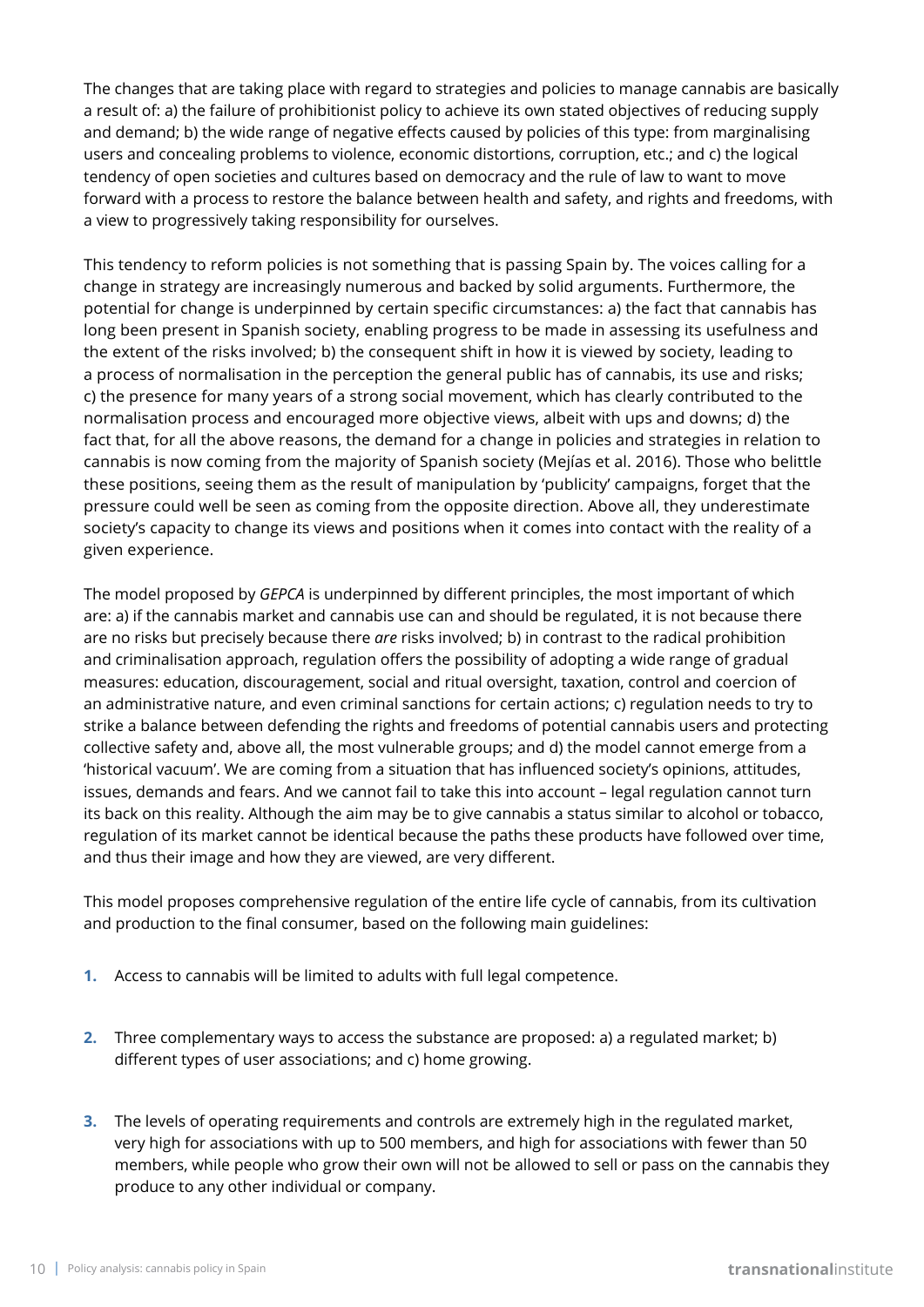The changes that are taking place with regard to strategies and policies to manage cannabis are basically a result of: a) the failure of prohibitionist policy to achieve its own stated objectives of reducing supply and demand; b) the wide range of negative effects caused by policies of this type: from marginalising users and concealing problems to violence, economic distortions, corruption, etc.; and c) the logical tendency of open societies and cultures based on democracy and the rule of law to want to move forward with a process to restore the balance between health and safety, and rights and freedoms, with a view to progressively taking responsibility for ourselves.

This tendency to reform policies is not something that is passing Spain by. The voices calling for a change in strategy are increasingly numerous and backed by solid arguments. Furthermore, the potential for change is underpinned by certain specific circumstances: a) the fact that cannabis has long been present in Spanish society, enabling progress to be made in assessing its usefulness and the extent of the risks involved; b) the consequent shift in how it is viewed by society, leading to a process of normalisation in the perception the general public has of cannabis, its use and risks; c) the presence for many years of a strong social movement, which has clearly contributed to the normalisation process and encouraged more objective views, albeit with ups and downs; d) the fact that, for all the above reasons, the demand for a change in policies and strategies in relation to cannabis is now coming from the majority of Spanish society (Mejías et al. 2016). Those who belittle these positions, seeing them as the result of manipulation by 'publicity' campaigns, forget that the pressure could well be seen as coming from the opposite direction. Above all, they underestimate society's capacity to change its views and positions when it comes into contact with the reality of a given experience.

The model proposed by *GEPCA* is underpinned by different principles, the most important of which are: a) if the cannabis market and cannabis use can and should be regulated, it is not because there are no risks but precisely because there *are* risks involved; b) in contrast to the radical prohibition and criminalisation approach, regulation offers the possibility of adopting a wide range of gradual measures: education, discouragement, social and ritual oversight, taxation, control and coercion of an administrative nature, and even criminal sanctions for certain actions; c) regulation needs to try to strike a balance between defending the rights and freedoms of potential cannabis users and protecting collective safety and, above all, the most vulnerable groups; and d) the model cannot emerge from a 'historical vacuum'. We are coming from a situation that has influenced society's opinions, attitudes, issues, demands and fears. And we cannot fail to take this into account – legal regulation cannot turn its back on this reality. Although the aim may be to give cannabis a status similar to alcohol or tobacco, regulation of its market cannot be identical because the paths these products have followed over time, and thus their image and how they are viewed, are very different.

This model proposes comprehensive regulation of the entire life cycle of cannabis, from its cultivation and production to the final consumer, based on the following main guidelines:

- **1.** Access to cannabis will be limited to adults with full legal competence.
- **2.** Three complementary ways to access the substance are proposed: a) a regulated market; b) different types of user associations; and c) home growing.
- **3.** The levels of operating requirements and controls are extremely high in the regulated market, very high for associations with up to 500 members, and high for associations with fewer than 50 members, while people who grow their own will not be allowed to sell or pass on the cannabis they produce to any other individual or company.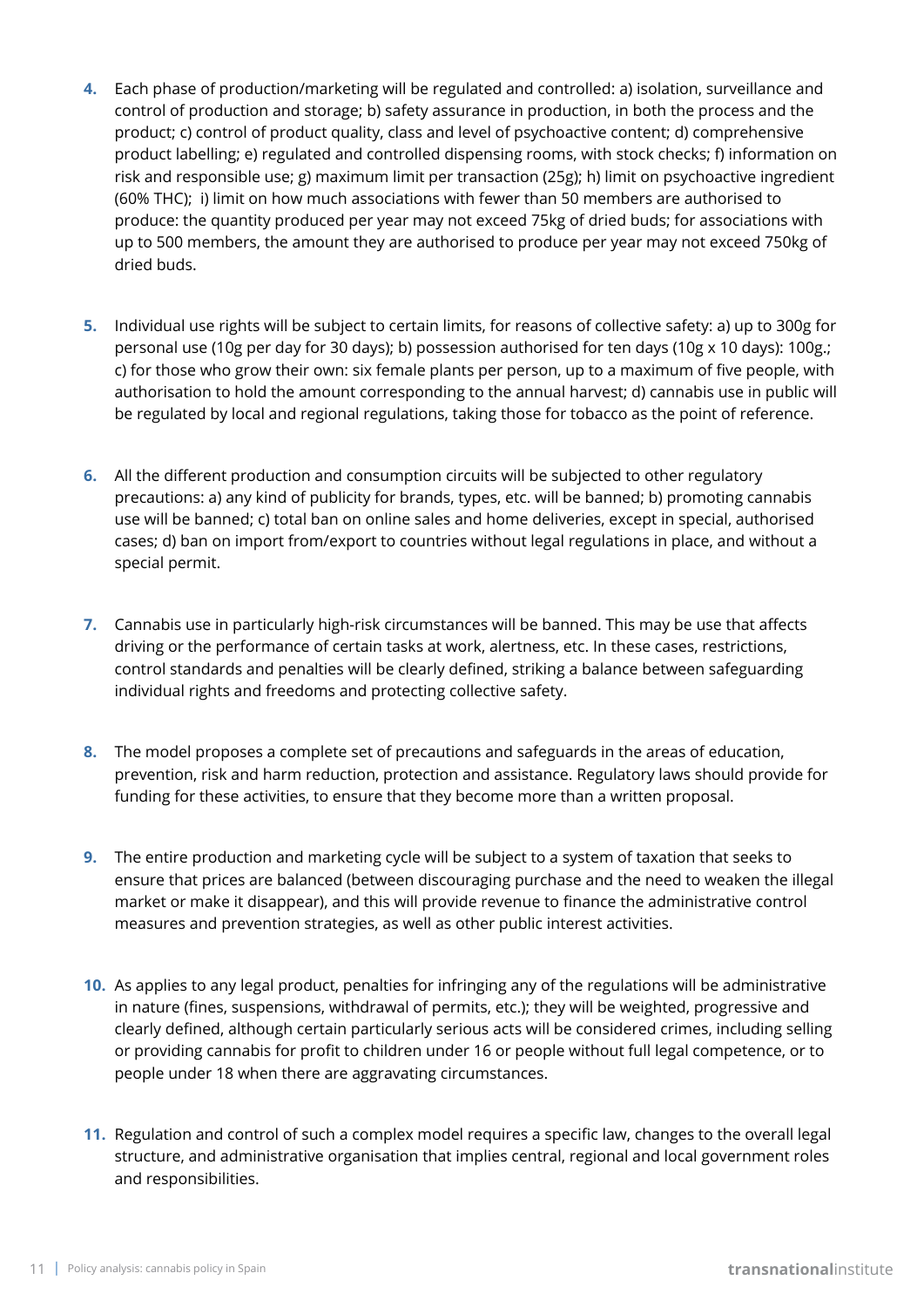- **4.** Each phase of production/marketing will be regulated and controlled: a) isolation, surveillance and control of production and storage; b) safety assurance in production, in both the process and the product; c) control of product quality, class and level of psychoactive content; d) comprehensive product labelling; e) regulated and controlled dispensing rooms, with stock checks; f) information on risk and responsible use; g) maximum limit per transaction (25g); h) limit on psychoactive ingredient (60% THC); i) limit on how much associations with fewer than 50 members are authorised to produce: the quantity produced per year may not exceed 75kg of dried buds; for associations with up to 500 members, the amount they are authorised to produce per year may not exceed 750kg of dried buds.
- **5.** Individual use rights will be subject to certain limits, for reasons of collective safety: a) up to 300g for personal use (10g per day for 30 days); b) possession authorised for ten days (10g x 10 days): 100g.; c) for those who grow their own: six female plants per person, up to a maximum of five people, with authorisation to hold the amount corresponding to the annual harvest; d) cannabis use in public will be regulated by local and regional regulations, taking those for tobacco as the point of reference.
- **6.** All the different production and consumption circuits will be subjected to other regulatory precautions: a) any kind of publicity for brands, types, etc. will be banned; b) promoting cannabis use will be banned; c) total ban on online sales and home deliveries, except in special, authorised cases; d) ban on import from/export to countries without legal regulations in place, and without a special permit.
- **7.** Cannabis use in particularly high-risk circumstances will be banned. This may be use that affects driving or the performance of certain tasks at work, alertness, etc. In these cases, restrictions, control standards and penalties will be clearly defined, striking a balance between safeguarding individual rights and freedoms and protecting collective safety.
- **8.** The model proposes a complete set of precautions and safeguards in the areas of education, prevention, risk and harm reduction, protection and assistance. Regulatory laws should provide for funding for these activities, to ensure that they become more than a written proposal.
- **9.** The entire production and marketing cycle will be subject to a system of taxation that seeks to ensure that prices are balanced (between discouraging purchase and the need to weaken the illegal market or make it disappear), and this will provide revenue to finance the administrative control measures and prevention strategies, as well as other public interest activities.
- **10.** As applies to any legal product, penalties for infringing any of the regulations will be administrative in nature (fines, suspensions, withdrawal of permits, etc.); they will be weighted, progressive and clearly defined, although certain particularly serious acts will be considered crimes, including selling or providing cannabis for profit to children under 16 or people without full legal competence, or to people under 18 when there are aggravating circumstances.
- **11.** Regulation and control of such a complex model requires a specific law, changes to the overall legal structure, and administrative organisation that implies central, regional and local government roles and responsibilities.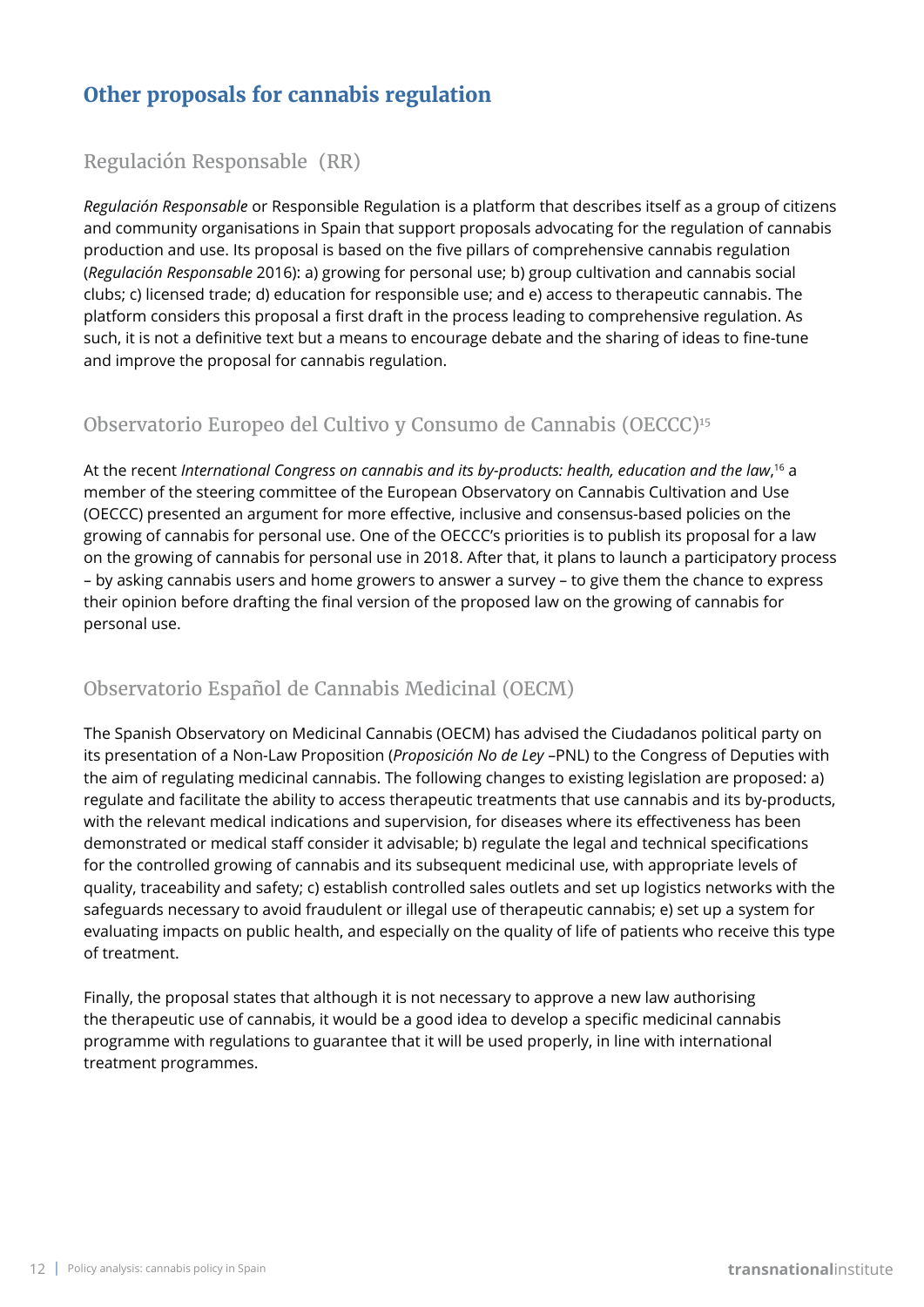# **Other proposals for cannabis regulation**

#### Regulación Responsable (RR)

*Regulación Responsable* or Responsible Regulation is a platform that describes itself as a group of citizens and community organisations in Spain that support proposals advocating for the regulation of cannabis production and use. Its proposal is based on the five pillars of comprehensive cannabis regulation (*Regulación Responsable* 2016): a) growing for personal use; b) group cultivation and cannabis social clubs; c) licensed trade; d) education for responsible use; and e) access to therapeutic cannabis. The platform considers this proposal a first draft in the process leading to comprehensive regulation. As such, it is not a definitive text but a means to encourage debate and the sharing of ideas to fine-tune and improve the proposal for cannabis regulation.

### Observatorio Europeo del Cultivo y Consumo de Cannabis (OECCC)15

At the recent *International Congress on cannabis and its by-products: health, education and the law*, 16 a member of the steering committee of the European Observatory on Cannabis Cultivation and Use (OECCC) presented an argument for more effective, inclusive and consensus-based policies on the growing of cannabis for personal use. One of the OECCC's priorities is to publish its proposal for a law on the growing of cannabis for personal use in 2018. After that, it plans to launch a participatory process – by asking cannabis users and home growers to answer a survey – to give them the chance to express their opinion before drafting the final version of the proposed law on the growing of cannabis for personal use.

### Observatorio Español de Cannabis Medicinal (OECM)

The Spanish Observatory on Medicinal Cannabis (OECM) has advised the Ciudadanos political party on its presentation of a Non-Law Proposition (*Proposición No de Ley* –PNL) to the Congress of Deputies with the aim of regulating medicinal cannabis. The following changes to existing legislation are proposed: a) regulate and facilitate the ability to access therapeutic treatments that use cannabis and its by-products, with the relevant medical indications and supervision, for diseases where its effectiveness has been demonstrated or medical staff consider it advisable; b) regulate the legal and technical specifications for the controlled growing of cannabis and its subsequent medicinal use, with appropriate levels of quality, traceability and safety; c) establish controlled sales outlets and set up logistics networks with the safeguards necessary to avoid fraudulent or illegal use of therapeutic cannabis; e) set up a system for evaluating impacts on public health, and especially on the quality of life of patients who receive this type of treatment.

Finally, the proposal states that although it is not necessary to approve a new law authorising the therapeutic use of cannabis, it would be a good idea to develop a specific medicinal cannabis programme with regulations to guarantee that it will be used properly, in line with international treatment programmes.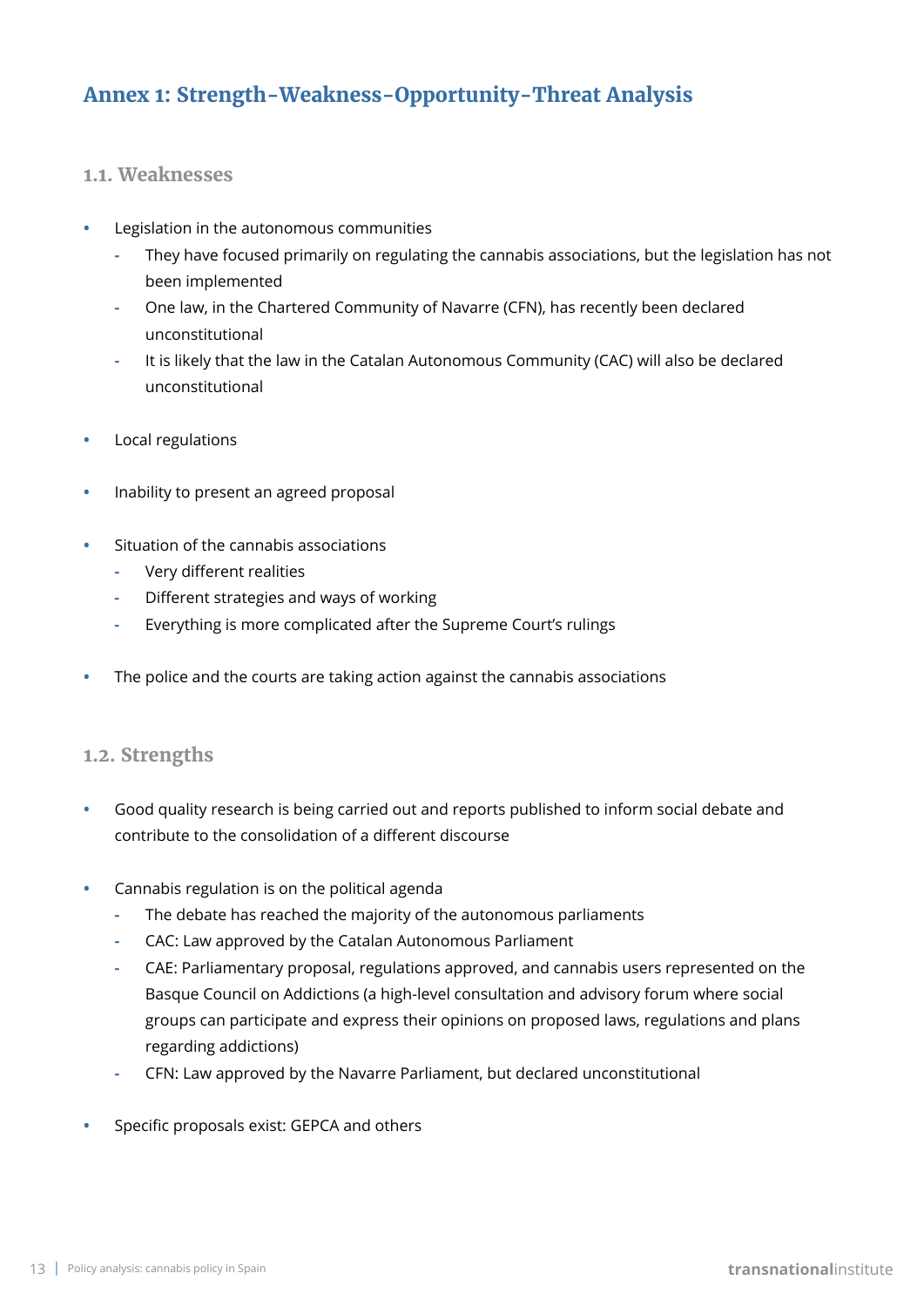# **Annex 1: Strength-Weakness-Opportunity-Threat Analysis**

#### **1.1. Weaknesses**

- **•** Legislation in the autonomous communities
	- **-** They have focused primarily on regulating the cannabis associations, but the legislation has not been implemented
	- **-** One law, in the Chartered Community of Navarre (CFN), has recently been declared unconstitutional
	- **-** It is likely that the law in the Catalan Autonomous Community (CAC) will also be declared unconstitutional
- **•** Local regulations
- **•** Inability to present an agreed proposal
- **•** Situation of the cannabis associations
	- **-** Very different realities
	- **-** Different strategies and ways of working
	- **-** Everything is more complicated after the Supreme Court's rulings
- **•** The police and the courts are taking action against the cannabis associations

#### **1.2. Strengths**

- **•** Good quality research is being carried out and reports published to inform social debate and contribute to the consolidation of a different discourse
- **•** Cannabis regulation is on the political agenda
	- **-** The debate has reached the majority of the autonomous parliaments
	- **-** CAC: Law approved by the Catalan Autonomous Parliament
	- **-** CAE: Parliamentary proposal, regulations approved, and cannabis users represented on the Basque Council on Addictions (a high-level consultation and advisory forum where social groups can participate and express their opinions on proposed laws, regulations and plans regarding addictions)
	- **-** CFN: Law approved by the Navarre Parliament, but declared unconstitutional
- **•** Specific proposals exist: GEPCA and others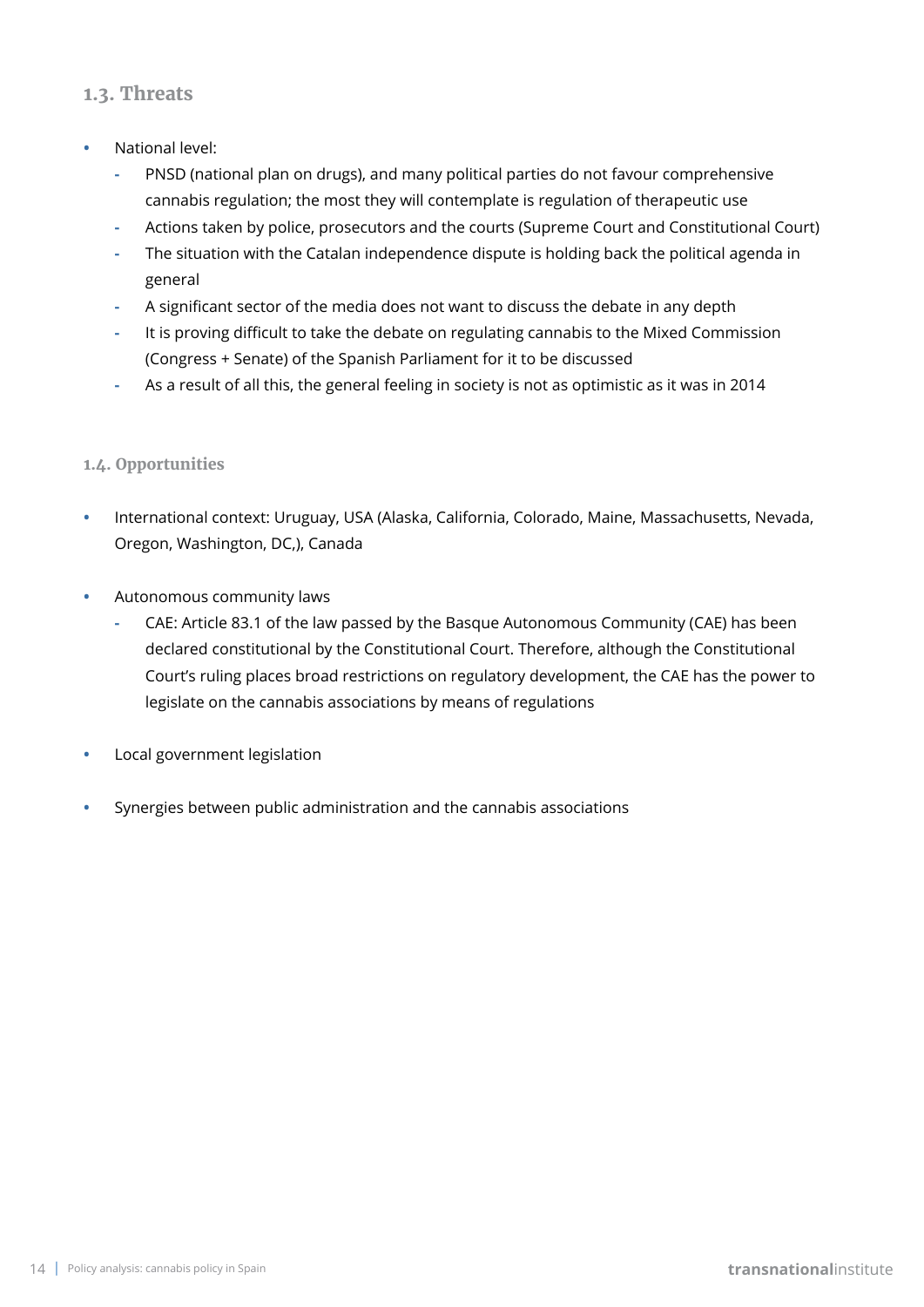#### **1.3. Threats**

- **•** National level:
	- **-** PNSD (national plan on drugs), and many political parties do not favour comprehensive cannabis regulation; the most they will contemplate is regulation of therapeutic use
	- **-** Actions taken by police, prosecutors and the courts (Supreme Court and Constitutional Court)
	- **-** The situation with the Catalan independence dispute is holding back the political agenda in general
	- **-** A significant sector of the media does not want to discuss the debate in any depth
	- **-** It is proving difficult to take the debate on regulating cannabis to the Mixed Commission (Congress + Senate) of the Spanish Parliament for it to be discussed
	- **-** As a result of all this, the general feeling in society is not as optimistic as it was in 2014

#### **1.4. Opportunities**

- **•** International context: Uruguay, USA (Alaska, California, Colorado, Maine, Massachusetts, Nevada, Oregon, Washington, DC,), Canada
- **•** Autonomous community laws
	- **-** CAE: Article 83.1 of the law passed by the Basque Autonomous Community (CAE) has been declared constitutional by the Constitutional Court. Therefore, although the Constitutional Court's ruling places broad restrictions on regulatory development, the CAE has the power to legislate on the cannabis associations by means of regulations
- **•** Local government legislation
- **•** Synergies between public administration and the cannabis associations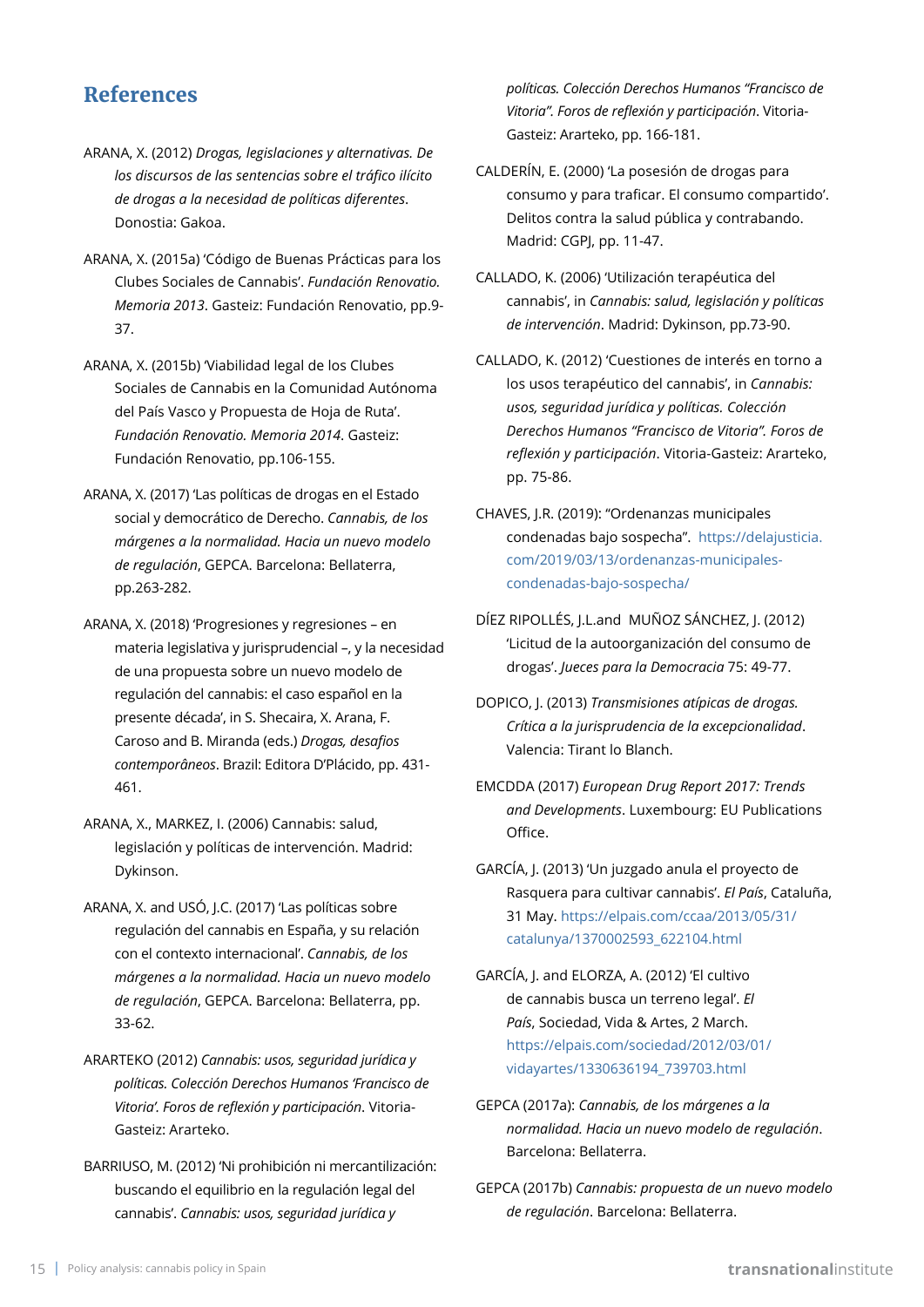### **References**

- ARANA, X. (2012) *Drogas, legislaciones y alternativas. De los discursos de las sentencias sobre el tráfico ilícito de drogas a la necesidad de políticas diferentes*. Donostia: Gakoa.
- ARANA, X. (2015a) 'Código de Buenas Prácticas para los Clubes Sociales de Cannabis'. *Fundación Renovatio. Memoria 2013*. Gasteiz: Fundación Renovatio, pp.9- 37.
- ARANA, X. (2015b) 'Viabilidad legal de los Clubes Sociales de Cannabis en la Comunidad Autónoma del País Vasco y Propuesta de Hoja de Ruta'. *Fundación Renovatio. Memoria 2014*. Gasteiz: Fundación Renovatio, pp.106-155.
- ARANA, X. (2017) 'Las políticas de drogas en el Estado social y democrático de Derecho. *Cannabis, de los márgenes a la normalidad. Hacia un nuevo modelo de regulación*, GEPCA. Barcelona: Bellaterra, pp.263-282.
- ARANA, X. (2018) 'Progresiones y regresiones en materia legislativa y jurisprudencial –, y la necesidad de una propuesta sobre un nuevo modelo de regulación del cannabis: el caso español en la presente década', in S. Shecaira, X. Arana, F. Caroso and B. Miranda (eds.) *Drogas, desafios contemporâneos*. Brazil: Editora D'Plácido, pp. 431- 461.
- ARANA, X., MARKEZ, I. (2006) Cannabis: salud, legislación y políticas de intervención. Madrid: Dykinson.
- ARANA, X. and USÓ, J.C. (2017) 'Las políticas sobre regulación del cannabis en España, y su relación con el contexto internacional'. *Cannabis, de los márgenes a la normalidad. Hacia un nuevo modelo de regulación*, GEPCA. Barcelona: Bellaterra, pp. 33-62.
- ARARTEKO (2012) *Cannabis: usos, seguridad jurídica y políticas. Colección Derechos Humanos 'Francisco de Vitoria'. Foros de reflexión y participación*. Vitoria-Gasteiz: Ararteko.
- BARRIUSO, M. (2012) 'Ni prohibición ni mercantilización: buscando el equilibrio en la regulación legal del cannabis'. *Cannabis: usos, seguridad jurídica y*

*políticas. Colección Derechos Humanos "Francisco de Vitoria". Foros de reflexión y participación*. Vitoria-Gasteiz: Ararteko, pp. 166-181.

- CALDERÍN, E. (2000) 'La posesión de drogas para consumo y para traficar. El consumo compartido'. Delitos contra la salud pública y contrabando. Madrid: CGPJ, pp. 11-47.
- CALLADO, K. (2006) 'Utilización terapéutica del cannabis', in *Cannabis: salud, legislación y políticas de intervención*. Madrid: Dykinson, pp.73-90.
- CALLADO, K. (2012) 'Cuestiones de interés en torno a los usos terapéutico del cannabis', in *Cannabis: usos, seguridad jurídica y políticas. Colección Derechos Humanos "Francisco de Vitoria". Foros de reflexión y participación*. Vitoria-Gasteiz: Ararteko, pp. 75-86.
- CHAVES, J.R. (2019): "Ordenanzas municipales condenadas bajo sospecha". [https://delajusticia.](https://delajusticia.com/2019/03/13/ordenanzas-municipales-condenadas-bajo-sospecha/) [com/2019/03/13/ordenanzas-municipales](https://delajusticia.com/2019/03/13/ordenanzas-municipales-condenadas-bajo-sospecha/)[condenadas-bajo-sospecha/](https://delajusticia.com/2019/03/13/ordenanzas-municipales-condenadas-bajo-sospecha/)
- DÍEZ RIPOLLÉS, J.L.and MUÑOZ SÁNCHEZ, J. (2012) 'Licitud de la autoorganización del consumo de drogas'. *Jueces para la Democracia* 75: 49-77.
- DOPICO, J. (2013) *Transmisiones atípicas de drogas. Crítica a la jurisprudencia de la excepcionalidad*. Valencia: Tirant lo Blanch.
- EMCDDA (2017) *European Drug Report 2017: Trends and Developments*. Luxembourg: EU Publications Office.
- GARCÍA, J. (2013) 'Un juzgado anula el proyecto de Rasquera para cultivar cannabis'. *El País*, Cataluña, 31 May. [https://elpais.com/ccaa/2013/05/31/](https://elpais.com/ccaa/2013/05/31/catalunya/1370002593_622104.html) [catalunya/1370002593\\_622104.html](https://elpais.com/ccaa/2013/05/31/catalunya/1370002593_622104.html)
- GARCÍA, J. and ELORZA, A. (2012) 'El cultivo de cannabis busca un terreno legal'. *El País*, Sociedad, Vida & Artes, 2 March. [https://elpais.com/sociedad/2012/03/01/](https://elpais.com/sociedad/2012/03/01/vidayartes/1330636194_739703.html) [vidayartes/1330636194\\_739703.html](https://elpais.com/sociedad/2012/03/01/vidayartes/1330636194_739703.html)
- GEPCA (2017a): *Cannabis, de los márgenes a la normalidad. Hacia un nuevo modelo de regulación*. Barcelona: Bellaterra.
- GEPCA (2017b) *Cannabis: propuesta de un nuevo modelo de regulación*. Barcelona: Bellaterra.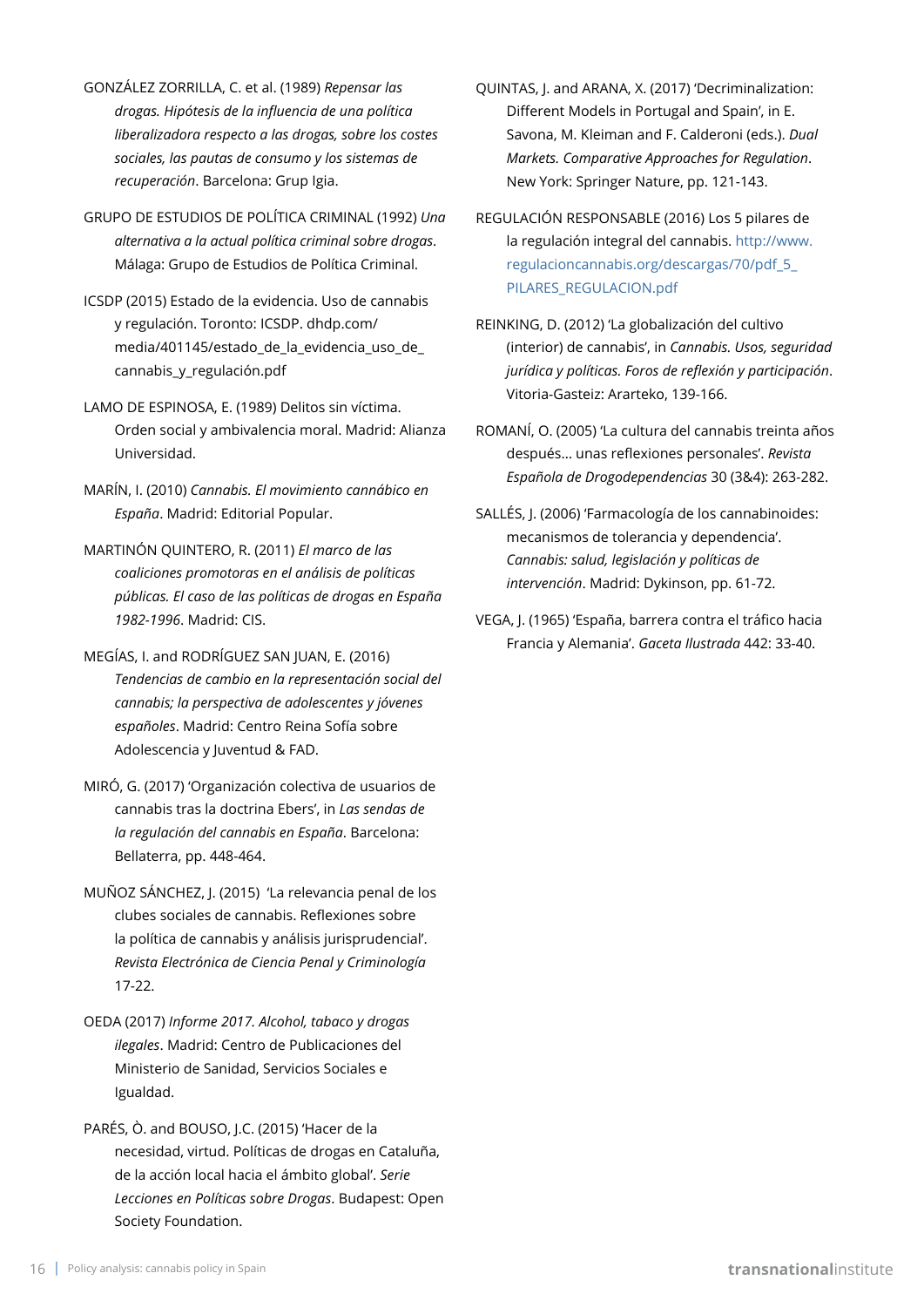- GONZÁLEZ ZORRILLA, C. et al. (1989) *Repensar las drogas. Hipótesis de la influencia de una política liberalizadora respecto a las drogas, sobre los costes sociales, las pautas de consumo y los sistemas de recuperación*. Barcelona: Grup Igia.
- GRUPO DE ESTUDIOS DE POLÍTICA CRIMINAL (1992) *Una alternativa a la actual política criminal sobre drogas*. Málaga: Grupo de Estudios de Política Criminal.
- ICSDP (2015) Estado de la evidencia. Uso de cannabis y regulación. Toronto: ICSDP. dhdp.com/ media/401145/estado\_de\_la\_evidencia\_uso\_de\_ cannabis\_y\_regulación.pdf
- LAMO DE ESPINOSA, E. (1989) Delitos sin víctima. Orden social y ambivalencia moral. Madrid: Alianza Universidad.
- MARÍN, I. (2010) *Cannabis. El movimiento cannábico en España*. Madrid: Editorial Popular.
- MARTINÓN QUINTERO, R. (2011) *El marco de las coaliciones promotoras en el análisis de políticas públicas. El caso de las políticas de drogas en España 1982-1996*. Madrid: CIS.
- MEGÍAS, I. and RODRÍGUEZ SAN JUAN, E. (2016) *Tendencias de cambio en la representación social del cannabis; la perspectiva de adolescentes y jóvenes españoles*. Madrid: Centro Reina Sofía sobre Adolescencia y Juventud & FAD.
- MIRÓ, G. (2017) 'Organización colectiva de usuarios de cannabis tras la doctrina Ebers', in *Las sendas de la regulación del cannabis en España*. Barcelona: Bellaterra, pp. 448-464.
- MUÑOZ SÁNCHEZ, J. (2015) 'La relevancia penal de los clubes sociales de cannabis. Reflexiones sobre la política de cannabis y análisis jurisprudencial'. *Revista Electrónica de Ciencia Penal y Criminología* 17-22.
- OEDA (2017) *Informe 2017. Alcohol, tabaco y drogas ilegales*. Madrid: Centro de Publicaciones del Ministerio de Sanidad, Servicios Sociales e Igualdad.
- PARÉS, Ò. and BOUSO, J.C. (2015) 'Hacer de la necesidad, virtud. Políticas de drogas en Cataluña, de la acción local hacia el ámbito global'. *Serie Lecciones en Políticas sobre Drogas*. Budapest: Open Society Foundation.
- QUINTAS, J. and ARANA, X. (2017) 'Decriminalization: Different Models in Portugal and Spain', in E. Savona, M. Kleiman and F. Calderoni (eds.). *Dual Markets. Comparative Approaches for Regulation*. New York: Springer Nature, pp. 121-143.
- REGULACIÓN RESPONSABLE (2016) Los 5 pilares de la regulación integral del cannabis. [http://www.](http://www.regulacioncannabis.org/descargas/70/pdf_5_PILARES_REGULACION.pdf) [regulacioncannabis.org/descargas/70/pdf\\_5\\_](http://www.regulacioncannabis.org/descargas/70/pdf_5_PILARES_REGULACION.pdf) [PILARES\\_REGULACION.pdf](http://www.regulacioncannabis.org/descargas/70/pdf_5_PILARES_REGULACION.pdf)
- REINKING, D. (2012) 'La globalización del cultivo (interior) de cannabis', in *Cannabis. Usos, seguridad jurídica y políticas. Foros de reflexión y participación*. Vitoria-Gasteiz: Ararteko, 139-166.
- ROMANÍ, O. (2005) 'La cultura del cannabis treinta años después… unas reflexiones personales'. *Revista Española de Drogodependencias* 30 (3&4): 263-282.
- SALLÉS, J. (2006) 'Farmacología de los cannabinoides: mecanismos de tolerancia y dependencia'. *Cannabis: salud, legislación y políticas de intervención*. Madrid: Dykinson, pp. 61-72.
- VEGA, J. (1965) 'España, barrera contra el tráfico hacia Francia y Alemania'. *Gaceta Ilustrada* 442: 33-40.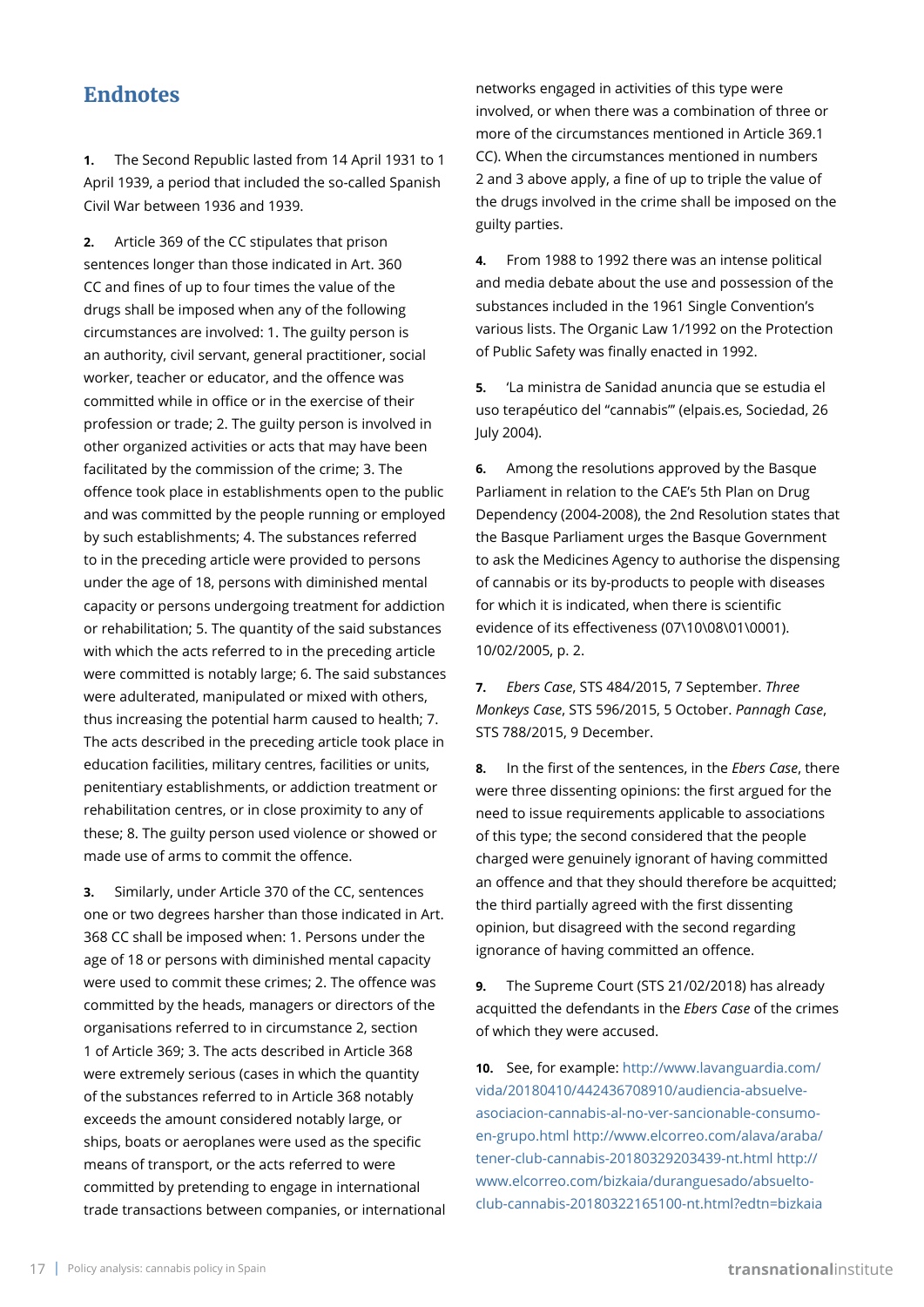### **Endnotes**

**1.** The Second Republic lasted from 14 April 1931 to 1 April 1939, a period that included the so-called Spanish Civil War between 1936 and 1939.

**2.** Article 369 of the CC stipulates that prison sentences longer than those indicated in Art. 360 CC and fines of up to four times the value of the drugs shall be imposed when any of the following circumstances are involved: 1. The guilty person is an authority, civil servant, general practitioner, social worker, teacher or educator, and the offence was committed while in office or in the exercise of their profession or trade; 2. The guilty person is involved in other organized activities or acts that may have been facilitated by the commission of the crime; 3. The offence took place in establishments open to the public and was committed by the people running or employed by such establishments; 4. The substances referred to in the preceding article were provided to persons under the age of 18, persons with diminished mental capacity or persons undergoing treatment for addiction or rehabilitation; 5. The quantity of the said substances with which the acts referred to in the preceding article were committed is notably large; 6. The said substances were adulterated, manipulated or mixed with others, thus increasing the potential harm caused to health; 7. The acts described in the preceding article took place in education facilities, military centres, facilities or units, penitentiary establishments, or addiction treatment or rehabilitation centres, or in close proximity to any of these; 8. The guilty person used violence or showed or made use of arms to commit the offence.

**3.** Similarly, under Article 370 of the CC, sentences one or two degrees harsher than those indicated in Art. 368 CC shall be imposed when: 1. Persons under the age of 18 or persons with diminished mental capacity were used to commit these crimes; 2. The offence was committed by the heads, managers or directors of the organisations referred to in circumstance 2, section 1 of Article 369; 3. The acts described in Article 368 were extremely serious (cases in which the quantity of the substances referred to in Article 368 notably exceeds the amount considered notably large, or ships, boats or aeroplanes were used as the specific means of transport, or the acts referred to were committed by pretending to engage in international trade transactions between companies, or international

networks engaged in activities of this type were involved, or when there was a combination of three or more of the circumstances mentioned in Article 369.1 CC). When the circumstances mentioned in numbers 2 and 3 above apply, a fine of up to triple the value of the drugs involved in the crime shall be imposed on the guilty parties.

**4.** From 1988 to 1992 there was an intense political and media debate about the use and possession of the substances included in the 1961 Single Convention's various lists. The Organic Law 1/1992 on the Protection of Public Safety was finally enacted in 1992.

**5.** 'La ministra de Sanidad anuncia que se estudia el uso terapéutico del "cannabis"' (elpais.es, Sociedad, 26 July 2004).

**6.** Among the resolutions approved by the Basque Parliament in relation to the CAE's 5th Plan on Drug Dependency (2004-2008), the 2nd Resolution states that the Basque Parliament urges the Basque Government to ask the Medicines Agency to authorise the dispensing of cannabis or its by-products to people with diseases for which it is indicated, when there is scientific evidence of its effectiveness (07\10\08\01\0001). 10/02/2005, p. 2.

**7.** *Ebers Case*, STS 484/2015, 7 September. *Three Monkeys Case*, STS 596/2015, 5 October. *Pannagh Case*, STS 788/2015, 9 December.

**8.** In the first of the sentences, in the *Ebers Case*, there were three dissenting opinions: the first argued for the need to issue requirements applicable to associations of this type; the second considered that the people charged were genuinely ignorant of having committed an offence and that they should therefore be acquitted; the third partially agreed with the first dissenting opinion, but disagreed with the second regarding ignorance of having committed an offence.

**9.** The Supreme Court (STS 21/02/2018) has already acquitted the defendants in the *Ebers Case* of the crimes of which they were accused.

**10.** See, for example: [http://www.lavanguardia.com/](http://www.lavanguardia.com/vida/20180410/442436708910/audiencia-absuelve-asociacion-cannabis-al-no-ver-sancionable-consumo-en-grupo.html) [vida/20180410/442436708910/audiencia-absuelve](http://www.lavanguardia.com/vida/20180410/442436708910/audiencia-absuelve-asociacion-cannabis-al-no-ver-sancionable-consumo-en-grupo.html)[asociacion-cannabis-al-no-ver-sancionable-consumo](http://www.lavanguardia.com/vida/20180410/442436708910/audiencia-absuelve-asociacion-cannabis-al-no-ver-sancionable-consumo-en-grupo.html)[en-grupo.html](http://www.lavanguardia.com/vida/20180410/442436708910/audiencia-absuelve-asociacion-cannabis-al-no-ver-sancionable-consumo-en-grupo.html) [http://www.elcorreo.com/alava/araba/](http://www.elcorreo.com/alava/araba/tener-club-cannabis-20180329203439-nt.html) [tener-club-cannabis-20180329203439-nt.html](http://www.elcorreo.com/alava/araba/tener-club-cannabis-20180329203439-nt.html) [http://](http://www.elcorreo.com/bizkaia/duranguesado/absuelto-club-cannabis-20180322165100-nt.html?edtn=bizkaia) [www.elcorreo.com/bizkaia/duranguesado/absuelto](http://www.elcorreo.com/bizkaia/duranguesado/absuelto-club-cannabis-20180322165100-nt.html?edtn=bizkaia)[club-cannabis-20180322165100-nt.html?edtn=bizkaia](http://www.elcorreo.com/bizkaia/duranguesado/absuelto-club-cannabis-20180322165100-nt.html?edtn=bizkaia)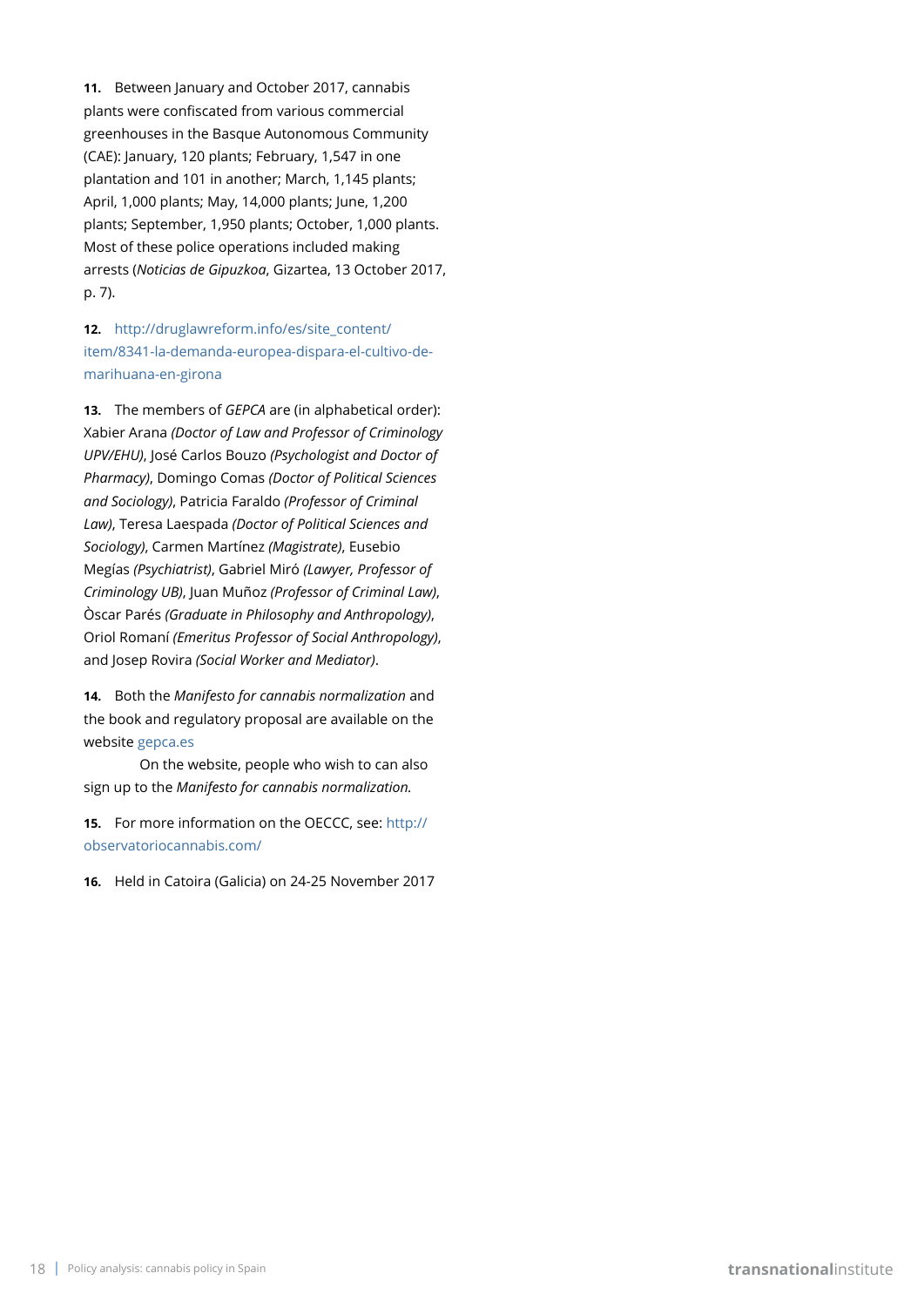**11.** Between January and October 2017, cannabis plants were confiscated from various commercial greenhouses in the Basque Autonomous Community (CAE): January, 120 plants; February, 1,547 in one plantation and 101 in another; March, 1,145 plants; April, 1,000 plants; May, 14,000 plants; June, 1,200 plants; September, 1,950 plants; October, 1,000 plants. Most of these police operations included making arrests (*Noticias de Gipuzkoa*, Gizartea, 13 October 2017, p. 7).

#### **12.** [http://druglawreform.info/es/site\\_content/](http://druglawreform.info/es/site_content/item/8341-la-demanda-europea-dispara-el-cultivo-de-marihuana-en-girona) [item/8341-la-demanda-europea-dispara-el-cultivo-de](http://druglawreform.info/es/site_content/item/8341-la-demanda-europea-dispara-el-cultivo-de-marihuana-en-girona)[marihuana-en-girona](http://druglawreform.info/es/site_content/item/8341-la-demanda-europea-dispara-el-cultivo-de-marihuana-en-girona)

**13.** The members of *GEPCA* are (in alphabetical order): Xabier Arana *(Doctor of Law and Professor of Criminology UPV/EHU)*, José Carlos Bouzo *(Psychologist and Doctor of Pharmacy)*, Domingo Comas *(Doctor of Political Sciences and Sociology)*, Patricia Faraldo *(Professor of Criminal Law)*, Teresa Laespada *(Doctor of Political Sciences and Sociology)*, Carmen Martínez *(Magistrate)*, Eusebio Megías *(Psychiatrist)*, Gabriel Miró *(Lawyer, Professor of Criminology UB)*, Juan Muñoz *(Professor of Criminal Law)*, Òscar Parés *(Graduate in Philosophy and Anthropology)*, Oriol Romaní *(Emeritus Professor of Social Anthropology)*, and Josep Rovira *(Social Worker and Mediator)*.

**14.** Both the *Manifesto for cannabis normalization* and the book and regulatory proposal are available on the website [gepca.es](https://gepca.es/)

On the website, people who wish to can also sign up to the *Manifesto for cannabis normalization.*

**15.** For more information on the OECCC, see: [http://](http://observatoriocannabis.com/) [observatoriocannabis.com/](http://observatoriocannabis.com/)

**16.** Held in Catoira (Galicia) on 24-25 November 2017